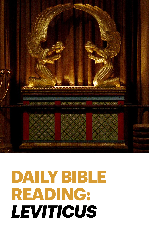

# **DAILY BIBLE READING:**  *LEVITICUS*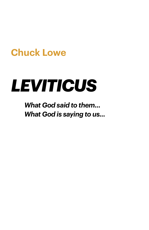### **Chuck Lowe**

# *LEVITICUS*

*What God said to them... What God is saying to us...*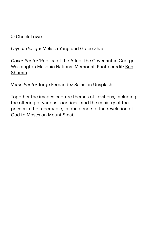#### © Chuck Lowe

*Layout design:* Melissa Yang and Grace Zhao

*Cover Photo:* 'Replica of the Ark of the Covenant in George Washington Masonic National Memorial. Photo credit: [Ben](https://en.wikipedia.org/wiki/Ark_of_the_Covenant#/media/File%3ARoyal_Arch_Room_Ark_replica_2.jpg)  [Shumin.](https://en.wikipedia.org/wiki/Ark_of_the_Covenant#/media/File%3ARoyal_Arch_Room_Ark_replica_2.jpg)

#### *Verse Photo:* [Jorge Fernández Salas on Unsplash](https://unsplash.com/photos/dLgsJ9bV0jc)

Together the images capture themes of Leviticus, including the offering of various sacrifices, and the ministry of the priests in the tabernacle, in obedience to the revelation of God to Moses on Mount Sinai.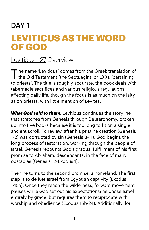#### DAY 1

### **LEVITICUS AS THE WORD OF GOD**

#### [Leviticus 1](https://www.biblegateway.com/passage/?search=Leviticus+1-27&version=NIV)-27 Overview

The name 'Leviticus' comes from the Greek translation of the Old Testament (the Septuagint, or LXX): 'pertaining to priests'. The title is roughly accurate: the book deals with tabernacle sacrifices and various religious regulations affecting daily life, though the focus is as much on the laity as on priests, with little mention of Levites.

*What God said to them.* Leviticus continues the storyline that stretches from Genesis through Deuteronomy, broken up into five books because it is too long to fit on a single ancient scroll. To review, after his pristine creation (Genesis 1-2) was corrupted by sin (Genesis 3-11), God begins the long process of restoration, working through the people of Israel. Genesis recounts God's gradual fulfillment of his first promise to Abraham, descendants, in the face of many obstacles (Genesis 12-Exodus 1).

Then he turns to the second promise, a homeland. The first step is to deliver Israel from Egyptian captivity (Exodus 1-15a). Once they reach the wilderness, forward movement pauses while God set out his expectations: he chose Israel entirely by grace, but requires them to reciprocate with worship and obedience (Exodus 15b-24). Additionally, for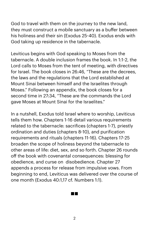God to travel with them on the journey to the new land, they must construct a mobile sanctuary as a buffer between his holiness and their sin (Exodus 25-40). Exodus ends with God taking up residence in the tabernacle.

Leviticus begins with God speaking to Moses from the tabernacle. A double inclusion frames the book. In 1:1-2, the Lord calls to Moses from the tent of meeting, with directives for Israel. The book closes in 26:46, "These are the decrees, the laws and the regulations that the Lord established at Mount Sinai between himself and the Israelites through Moses." Following an appendix, the book closes for a second time in 27:34, "These are the commands the Lord gave Moses at Mount Sinai for the Israelites."

In a nutshell, Exodus told Israel where to worship, Leviticus tells them how. Chapters 1-16 detail various requirements related to the tabernacle: sacrifices (chapters 1-7), priestly ordination and duties (chapters 8-10), and purification requirements and rituals (chapters 11-16). Chapters 17-25 broaden the scope of holiness beyond the tabernacle to other areas of life: diet, sex, and so forth. Chapter 26 rounds off the book with covenantal consequences: blessing for obedience, and curse on disobedience. Chapter 27 appends a process for release from impulsive vows. From beginning to end, Leviticus was delivered over the course of one month (Exodus 40:1,17 cf. Numbers 1:1).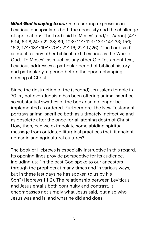*What God is saying to us.* One recurring expression in Leviticus encapsulates both the necessity and the challenge of application: 'The Lord said to Moses' [and/or, Aaron] (4:1; 5:14; 6:1,8,24; 7:22,28; 8:1; 10:8; 11:1; 12:1; 13:1; 14:1,33; 15:1; 16:2; 17:1; 18:1; 19:1; 20:1; 21:1,16; 22:1,17,26). 'The Lord said': as much as any other biblical text, Leviticus is the Word of God. 'To Moses': as much as any other Old Testament text, Leviticus addresses a particular period of biblical history, and particularly, a period before the epoch-changing coming of Christ.

Since the destruction of the (second) Jerusalem temple in 70 CE, not even Judaism has been offering animal sacrifice, so substantial swathes of the book can no longer be implemented as ordered. Furthermore, the New Testament portrays animal sacrifice both as ultimately ineffective and as obsolete after the once-for-all atoning death of Christ. How, then, can we extrapolate some abiding spiritual message from outdated liturgical practices that fit ancient nomadic and agricultural cultures?

The book of Hebrews is especially instructive in this regard. Its opening lines provide perspective for its audience, including us: "In the past God spoke to our ancestors through the prophets at many times and in various ways, but in these last days he has spoken to us by his Son" (Hebrews 1:1-2). The relationship between Leviticus and Jesus entails both continuity and contrast. It encompasses not simply what Jesus said, but also who Jesus was and is, and what he did and does.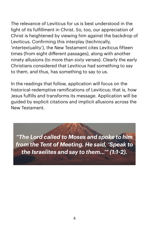The relevance of Leviticus for us is best understood in the light of its fulfillment in Christ. So, too, our appreciation of Christ is heightened by viewing him against the backdrop of Leviticus. Confirming this interplay (technically, 'intertextuality'), the New Testament cites Leviticus fifteen times (from eight different passages), along with another ninety allusions (to more than sixty verses). Clearly the early Christians considered that Leviticus had something to say to them, and thus, has something to say to us.

In the readings that follow, application will focus on the historical-redemptive ramifications of Leviticus; that is, how Jesus fulfills and transforms its message. Application will be guided by explicit citations and implicit allusions across the New Testament.

*"The Lord called to Moses and spoke to him from the Tent of Meeting. He said, 'Speak to the Israelites and say to them...'" (1:1-2).*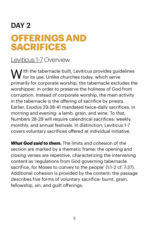### DAY<sub>2</sub> **OFFERINGS AND SACRIFICES**

#### [Leviticus 1](https://www.biblegateway.com/passage/?search=Lev+1-7&version=NIV)-7 Overview

 $\bigvee$  ith the tabernacle built, Leviticus provides guidelines  $\blacktriangledown$  for its use. Unlike churches today, which serve primarily for corporate worship, the tabernacle excludes the worshipper, in order to preserve the holiness of God from corruption. Instead of corporate worship, the main activity in the tabernacle is the offering of sacrifice by priests. Earlier, Exodus 29:38-41 mandated twice-daily sacrifices, in morning and evening: a lamb, grain, and wine. To that, Numbers 28-29 will require calendrical sacrifices: weekly, monthly, and annual festivals. In distinction, Leviticus 1-7 covers voluntary sacrifices offered at individual initiative.

*What God said to them.* The limits and cohesion of the section are marked by a thematic frame: the opening and closing verses are repetitive, characterizing the intervening content as 'regulations from God governing tabernacle sacrifice, for Moses to convey to the people' (1:1-2 cf. 7:37). Additional cohesion is provided by the content: the passage describes five forms of voluntary sacrifice: burnt, grain, fellowship, sin, and guilt offerings.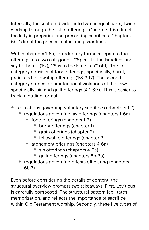Internally, the section divides into two unequal parts, twice working through the list of offerings. Chapters 1-6a direct the laity in preparing and presenting sacrifices. Chapters 6b-7 direct the priests in oficiating sacrifices.

Within chapters 1-6a, introductory formula separate the offerings into two categories: "'Speak to the Israelites and say to them'" (1:2); "'Say to the Israelites'" (4:1). The first category consists of food offerings; specifically, burnt, grain, and fellowship offerings (1:3-3:17). The second category atones for unintentional violations of the Law; specifically, sin and guilt offerings (4:1-6:7). This is easier to track in outline format:

- regulations governing voluntary sacrifices (chapters 1-7)
	- regulations governing lay offerings (chapters 1-6a)
		- food offerings (chapters 1-3)
			- burnt offerings (chapter 1)
			- grain offerings (chapter 2)
			- fellowship offerings (chapter 3)
		- atonement offerings (chapters 4-6a)
			- sin offerings (chapters 4-5a)
			- quilt offerings (chapters 5b-6a)
	- regulations governing priests officiating (chapters 6b-7).

Even before considering the details of content, the structural overview prompts two takeaways. First, Leviticus is carefully composed. The structural pattern facilitates memorization, and reflects the importance of sacrifice within Old Testament worship. Secondly, these five types of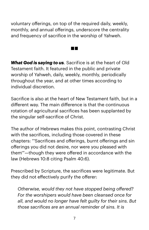voluntary offerings, on top of the required daily, weekly, monthly, and annual offerings, underscore the centrality and frequency of sacrifice in the worship of Yahweh.

 $\sim 100$ 

*What God is saying to us.* Sacrifice is at the heart of Old Testament faith. It featured in the public and private worship of Yahweh, daily, weekly, monthly, periodically throughout the year, and at other times according to individual discretion.

Sacrifice is also at the heart of New Testament faith, but in a different way. The main difference is that the continuous rotation of agricultural sacrifices has been supplanted by the singular self-sacrifice of Christ.

The author of Hebrews makes this point, contrasting Christ with the sacrifices, including those covered in these chapters: "'Sacrifices and offerings, burnt offerings and sin offerings you did not desire, nor were you pleased with them'"—though they were offered in accordance with the law (Hebrews 10:8 citing Psalm 40:6).

Prescribed by Scripture, the sacrifices were legitimate. But they did not effectively purify the offerer:

*Otherwise, would they not have stopped being offered? For the worshipers would have been cleansed once for all, and would no longer have felt guilty for their sins. But those sacrifices are an annual reminder of sins. It is*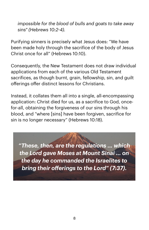*impossible for the blood of bulls and goats to take away sins" (Hebrews 10:2-4).* 

Purifying sinners is precisely what Jesus does: "We have been made holy through the sacrifice of the body of Jesus Christ once for all" (Hebrews 10:10).

Consequently, the New Testament does not draw individual applications from each of the various Old Testament sacrifices, as though burnt, grain, fellowship, sin, and guilt offerings offer distinct lessons for Christians.

Instead, it collates them all into a single, all-encompassing application: Christ died for us, as a sacrifice to God, oncefor-all, obtaining the forgiveness of our sins through his blood, and "where [sins] have been forgiven, sacrifice for sin is no longer necessary" (Hebrews 10:18).

*"These, then, are the regulations ... which the Lord gave Moses at Mount Sinai ... on the day he commanded the Israelites to bring their offerings to the Lord" (7:37).*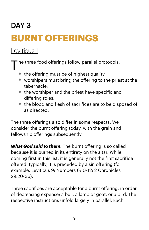## DAY<sub>3</sub> **BURNT OFFERINGS**

#### [Leviticus 1](https://www.biblegateway.com/passage/?search=Lev+1&version=NIV)

he three food offerings follow parallel protocols:

- the offering must be of highest quality;
- worshipers must bring the offering to the priest at the tabernacle;
- the worshiper and the priest have specific and differing roles;
- the blood and flesh of sacrifices are to be disposed of as directed.

The three offerings also differ in some respects. We consider the burnt offering today, with the grain and fellowship offerings subsequently.

*What God said to them.* The burnt offering is so called because it is burned in its entirety on the altar. While coming first in this list, it is generally not the first sacrifice offered: typically, it is preceded by a sin offering (for example, Leviticus 9; Numbers 6:10-12; 2 Chronicles 29:20-36).

Three sacrifices are acceptable for a burnt offering, in order of decreasing expense: a bull, a lamb or goat, or a bird. The respective instructions unfold largely in parallel. Each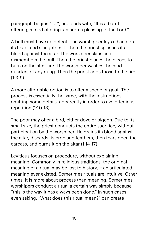paragraph begins "If...", and ends with, "It is a burnt offering, a food offering, an aroma pleasing to the Lord."

A bull must have no defect. The worshipper lays a hand on its head, and slaughters it. Then the priest splashes its blood against the altar. The worshiper skins and dismembers the bull. Then the priest places the pieces to burn on the altar fire. The worshiper washes the hind quarters of any dung. Then the priest adds those to the fire  $(1:3-9)$ .

A more affordable option is to offer a sheep or goat. The process is essentially the same, with the instructions omitting some details, apparently in order to avoid tedious repetition (1:10-13).

The poor may offer a bird, either dove or pigeon. Due to its small size, the priest conducts the entire sacrifice, without participation by the worshiper. He drains its blood against the altar, discards its crop and feathers, then tears open the carcass, and burns it on the altar (1:14-17).

Leviticus focuses on procedure, without explaining meaning. Commonly in religious traditions, the original meaning of a ritual may be lost to history, if an articulated meaning ever existed. Sometimes rituals are intuitive. Other times, it is more about process than meaning. Sometimes worshipers conduct a ritual a certain way simply because "this is the way it has always been done." In such cases, even asking, "What does this ritual mean?" can create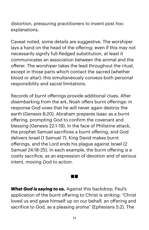distortion, pressuring practitioners to invent post hoc explanations.

Caveat noted, some details are suggestive. The worshiper lays a hand on the head of the offering: even if this may not necessarily signify full-fledged substitution, at least it communicates an association between the animal and the offerer. The worshiper takes the lead throughout the ritual, except in those parts which contact the sacred (whether blood or altar): this simultaneously conveys both personal responsibility and sacral limitations.

Records of burnt offerings provide additional clues. After disembarking from the ark, Noah offers burnt offerings: in response God vows that he will never again destroy the earth (Genesis 8:20). Abraham prepares Isaac as a burnt offering, prompting God to confirm the covenant and blessing (Genesis 22:1-19). In the face of Philistine attack, the prophet Samuel sacrifices a burnt offering, and God delivers Israel (1 Samuel 7). King David makes burnt offerings, and the Lord ends his plague against Israel (2 Samuel 24:18-25). In each example, the burnt offering is a costly sacrifice, as an expression of devotion and of serious intent, moving God to action.

*What God is saying to us.* Against this backdrop, Paul's application of the burnt offering to Christ is striking: "Christ loved us and gave himself up on our behalf, an offering and sacrifice to God, as a pleasing aroma" (Ephesians 5:2). The

an ing Kabupatèn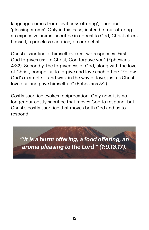language comes from Leviticus: 'offering', 'sacrifice', 'pleasing aroma'. Only in this case, instead of our offering an expensive animal sacrifice in appeal to God, Christ offers himself, a priceless sacrifice, on our behalf.

Christ's sacrifice of himself evokes two responses. First, God forgives us: "In Christ, God forgave you" (Ephesians 4:32). Secondly, the forgiveness of God, along with the love of Christ, compel us to forgive and love each other: "Follow God's example ... and walk in the way of love, just as Christ loved us and gave himself up" (Ephesians 5:2).

Costly sacrifice evokes reciprocation. Only now, it is no longer our costly sacrifice that moves God to respond, but Christ's costly sacrifice that moves both God and us to respond.

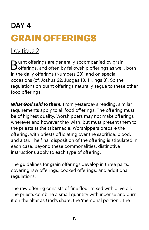### DAY 4 **GRAIN OFFERINGS**

[Leviticus 2](https://www.biblegateway.com/passage/?search=lev+2&version=NIV)

Burnt offerings are generally accompanied by grain offerings, and often by fellowship offerings as well, both in the daily offerings (Numbers 28), and on special occasions (cf. Joshua 22; Judges 13; 1 Kings 8). So the regulations on burnt offerings naturally segue to these other food offerings.

*What God said to them.* From yesterday's reading, similar requirements apply to all food offerings. The offering must be of highest quality. Worshippers may not make offerings wherever and however they wish, but must present them to the priests at the tabernacle. Worshippers prepare the offering, with priests oficiating over the sacrifice, blood, and altar. The final disposition of the offering is stipulated in each case. Beyond these commonalities, distinctive instructions apply to each type of offering.

The guidelines for grain offerings develop in three parts, covering raw offerings, cooked offerings, and additional regulations.

The raw offering consists of fine flour mixed with olive oil. The priests combine a small quantity with incense and burn it on the altar as God's share, the 'memorial portion'. The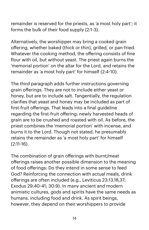remainder is reserved for the priests, as 'a most holy part'; it forms the bulk of their food supply (2:1-3).

Alternatively, the worshipper may bring a cooked grain offering, whether baked (thick or thin), grilled, or pan-fried. Whatever the cooking method, the offering consists of fine flour with oil, but without yeast. The priest again burns the 'memorial portion' on the altar for the Lord, and retains the remainder as 'a most holy part' for himself (2:4-10).

The third paragraph adds further instructions governing grain offerings. They are not to include either yeast or honey, but are to include salt. Tangentially, the regulation clarifies that yeast and honey may be included as part of first-fruit offerings. That leads into a final guideline regarding the first-fruit offering: newly harvested heads of grain are to be crushed and roasted with oil. As before, the priest combines the 'memorial portion' with incense, and burns it to the Lord. Though not stated, he presumably retains the remainder as 'a most holy part' for himself (2:11-16).

The combination of grain offerings with burnt/meat offerings raises another possible dimension to the meaning of food offerings: Do they intend in some sense to feed God? Reinforcing the connection with actual meals, drink offerings are often included (e.g., Leviticus 23:13,18,37; Exodus 29:40-41; 30:9). In many ancient and modern animistic cultures, gods and spirits have the same needs as humans, including food and drink. As spirit beings, however, they depend on their worshippers to provide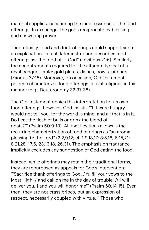material supplies, consuming the inner essence of the food offerings. In exchange, the gods reciprocate by blessing and answering prayer.

Theoretically, food and drink offerings could support such an explanation. In fact, later instruction describes food offerings as "the food of ... God" (Leviticus 21:6). Similarly, the accoutrements required for the altar are typical of a royal banquet table: gold plates, dishes, bowls, pitchers (Exodus 37:16). Moreover, on occasion, Old Testament polemic characterizes food offerings in rival religions in this manner (e.g., Deuteronomy 32:37-38).

The Old Testament denies this interpretation for its own food offerings, however. God insists, "'If I were hungry I would not tell you, for the world is mine, and all that is in it. Do I eat the flesh of bulls or drink the blood of goats?'" (Psalm 50:9-13). All that Leviticus allows is the recurring characterization of food offerings as "an aroma pleasing to the Lord" (2:2,9,12; cf. 1:9,13,17; 3:5,16; 6:15,21; 8:21,28; 17:6; 23:13,18; 26:31). The emphasis on fragrance implicitly excludes any suggestion of God eating the food.

Instead, while offerings may retain their traditional forms, they are repurposed as appeals for God's intervention: "'Sacrifice thank offerings to God, / fulfill your vows to the Most High, / and call on me in the day of trouble; // I will deliver you, ] and you will honor me'" (Psalm 50:14-15). Even then, they are not crass bribes, but an expression of respect, necessarily coupled with virtue: "'Those who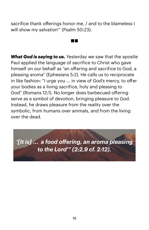sacrifice thank offerings honor me, / and to the blameless I will show my salvation'" (Psalm 50:23).

 $\sim 100$ 

*What God is saying to us.* Yesterday we saw that the apostle Paul applied the language of sacrifice to Christ who gave himself on our behalf as "an offering and sacrifice to God, a pleasing aroma" (Ephesians 5:2). He calls us to reciprocate in like fashion: "I urge you ... in view of God's mercy, to offer your bodies as a living sacrifice, holy and pleasing to God" (Romans 12:1). No longer does barbecued offering serve as a symbol of devotion, bringing pleasure to God. Instead, he draws pleasure from the reality over the symbolic, from humans over animals, and from the living over the dead.

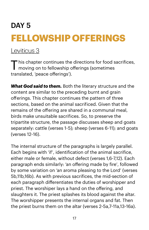## DAY 5 **FELLOWSHIP OFFERINGS**

#### [Leviticus 3](https://www.biblegateway.com/passage/?search=lev+3&version=NIV)

This chapter continues the directions for food sacrifices,<br>moving on to fellowship offerings (sometimes translated, 'peace offerings').

*What God said to them.* Both the literary structure and the content are similar to the preceding burnt and grain offerings. This chapter continues the pattern of three sections, based on the animal sacrificed. Given that the remains of the offering are shared in a communal meal, birds make unsuitable sacrifices. So, to preserve the tripartite structure, the passage discusses sheep and goats separately: cattle (verses 1-5); sheep (verses 6-11); and goats (verses 12-16).

The internal structure of the paragraphs is largely parallel. Each begins with 'if', identification of the animal sacrifice, either male or female, without defect (verses 1,6-7,12). Each paragraph ends similarly: 'an offering made by fire', followed by some variation on 'an aroma pleasing to the Lord' (verses 5b,11b,16b). As with previous sacrifices, the mid-section of each paragraph differentiates the duties of worshipper and priest. The worshiper lays a hand on the offering, and slaughters it. The priest splashes its blood against the altar. The worshipper presents the internal organs and fat. Then the priest burns them on the altar (verses 2-5a,7-11a,13-16a).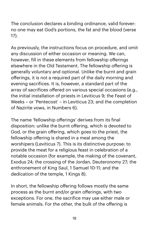The conclusion declares a binding ordinance, valid forever: no one may eat God's portions, the fat and the blood (verse 17).

As previously, the instructions focus on procedure, and omit any discussion of either occasion or meaning. We can, however, fill in these elements from fellowship offerings elsewhere in the Old Testament. The fellowship offering is generally voluntary and optional. Unlike the burnt and grain offerings, it is not a required part of the daily morning and evening sacrifices. It is, however, a standard part of the array of sacrifices offered on various special occasions (e.g., the initial installation of priests in Leviticus 9; the Feast of Weeks – or 'Pentecost' – in Leviticus 23; and the completion of Nazirite vows, in Numbers 6).

The name 'fellowship offerings' derives from its final disposition: unlike the burnt offering, which is devoted to God, or the grain offering, which goes to the priest, the fellowship offering is shared in a meal among the worshipers (Leviticus 7). This is its distinctive purpose: to provide the meat for a religious feast in celebration of a notable occasion (for example, the making of the covenant, Exodus 24; the crossing of the Jordan, Deuteronomy 27; the enthronement of King Saul, 1 Samuel 10-11; and the dedication of the temple, 1 Kings 8).

In short, the fellowship offering follows mostly the same process as the burnt and/or grain offerings, with two exceptions. For one, the sacrifice may use either male or female animals. For the other, the bulk of the offering is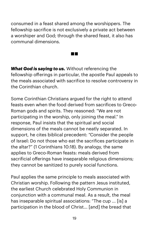consumed in a feast shared among the worshippers. The fellowship sacrifice is not exclusively a private act between a worshiper and God; through the shared feast, it also has communal dimensions.

*What God is saying to us.* Without referencing the fellowship offerings in particular, the apostle Paul appeals to the meals associated with sacrifice to resolve controversy in the Corinthian church.

**Contract** 

Some Corinthian Christians argued for the right to attend feasts even when the food derived from sacrifices to Greco-Roman gods and spirits. They reasoned: "We are not participating in the worship, only joining the meal." In response, Paul insists that the spiritual and social dimensions of the meals cannot be neatly separated. In support, he cites biblical precedent: "Consider the people of Israel: Do not those who eat the sacrifices participate in the altar?" (1 Corinthians 10:18). By analogy, the same applies to Greco-Roman feasts: meals derived from sacrificial offerings have inseparable religious dimensions; they cannot be sanitized to purely social functions.

Paul applies the same principle to meals associated with Christian worship. Following the pattern Jesus instituted, the earliest Church celebrated Holy Communion in conjunction with a communal meal. As a result, the meal has inseparable spiritual associations: "The cup ... [is] a participation in the blood of Christ... [and] the bread that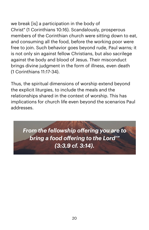we break [is] a participation in the body of Christ" (1 Corinthians 10:16). Scandalously, prosperous members of the Corinthian church were sitting down to eat, and consuming all the food, before the working poor were free to join. Such behavior goes beyond rude, Paul warns; it is not only sin against fellow Christians, but also sacrilege against the body and blood of Jesus. Their misconduct brings divine judgment in the form of illness, even death (1 Corinthians 11:17-34).

Thus, the spiritual dimensions of worship extend beyond the explicit liturgies, to include the meals and the relationships shared in the context of worship. This has implications for church life even beyond the scenarios Paul addresses.

*From the fellowship offering you are to bring a food offering to the Lord'" (3:3,9 cf. 3:14).*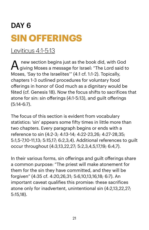### DAY 6 **SIN OFFERINGS**

[Leviticus 4:1](https://www.biblegateway.com/passage/?search=lev+4:1-5:13&version=NIV)-5:13

new section begins just as the book did, with God giving Moses a message for Israel: "The Lord said to Moses, 'Say to the Israelites'" (4:1 cf. 1:1-2). Topically, chapters 1-3 outlined procedures for voluntary food offerings in honor of God much as a dignitary would be fêted (cf. Genesis 18). Now the focus shifts to sacrifices that atone for sin: sin offerings (4:1-5:13), and guilt offerings (5:14-6:7).

The focus of this section is evident from vocabulary statistics: 'sin' appears some fifty times in little more than two chapters. Every paragraph begins or ends with a reference to sin (4:2-3; 4:13-14; 4:22-23,26; 4:27-28,35; 5:1,5-7,10-11,13; 5:15,17; 6:2,3,4). Additional references to guilt occur throughout (4:3,13,22,27; 5:2,3,4,5,17,19; 6:4,7).

In their various forms, sin offerings and guilt offerings share a common purpose: "The priest will make atonement for them for the sin they have committed, and they will be forgiven" (4:35 cf. 4:20,26,31; 5:6,10,13,16,18; 6:7). An important caveat qualifies this promise: these sacrifices atone only for inadvertent, unintentional sin (4:2,13,22,27; 5:15,18).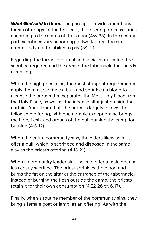*What God said to them.* The passage provides directions for sin offerings. In the first part, the offering process varies according to the status of the sinner (4:3-35). In the second part, sacrifices vary according to two factors: the sin committed and the ability to pay (5:1-13).

Regarding the former, spiritual and social status affect the sacrifice required and the area of the tabernacle that needs cleansing.

When the high priest sins, the most stringent requirements apply: he must sacrifice a bull, and sprinkle its blood to cleanse the curtain that separates the Most Holy Place from the Holy Place, as well as the incense altar just outside the curtain. Apart from that, the process largely follows the fellowship offering, with one notable exception: he brings the hide, flesh, and organs of the bull outside the camp for burning (4:3-12).

When the entire community sins, the elders likewise must offer a bull, which is sacrificed and disposed in the same way as the priest's offering (4:13-21).

When a community leader sins, he is to offer a male goat, a less costly sacrifice. The priest sprinkles the blood and burns the fat on the altar at the entrance of the tabernacle. Instead of burning the flesh outside the camp, the priests retain it for their own consumption (4:22-26 cf. 6:17).

Finally, when a routine member of the community sins, they bring a female goat or lamb, as an offering. As with the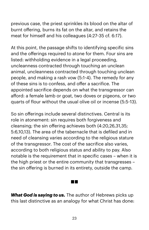previous case, the priest sprinkles its blood on the altar of burnt offering, burns its fat on the altar, and retains the meat for himself and his colleagues (4:27-35 cf. 6:17).

At this point, the passage shifts to identifying specific sins and the offerings required to atone for them. Four sins are listed: withholding evidence in a legal proceeding, uncleanness contracted through touching an unclean animal, uncleanness contracted through touching unclean people, and making a rash vow (5:1-4). The remedy for any of these sins is to confess, and offer a sacrifice. The appointed sacrifice depends on what the transgressor can afford: a female lamb or goat, two doves or pigeons, or two quarts of flour without the usual olive oil or incense (5:5-13).

So sin offerings include several distinctives. Central is its role in atonement: sin requires both forgiveness and cleansing; the sin offering achieves both (4:20,26,31,35; 5:6,10,13). The area of the tabernacle that is defiled and in need of cleansing varies according to the religious stature of the transgressor. The cost of the sacrifice also varies, according to both religious status and ability to pay. Also notable is the requirement that in specific cases – when it is the high priest or the entire community that transgresses – the sin offering is burned in its entirety, outside the camp.

*What God is saying to us.* The author of Hebrews picks up this last distinctive as an analogy for what Christ has done:

an ing Kabupatèn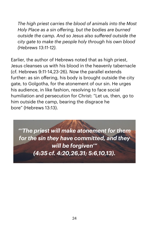*The high priest carries the blood of animals into the Most Holy Place as a sin offering, but the bodies are burned outside the camp. And so Jesus also suffered outside the city gate to make the people holy through his own blood (Hebrews 13:11-12).* 

Earlier, the author of Hebrews noted that as high priest, Jesus cleanses us with his blood in the heavenly tabernacle (cf. Hebrews 9:11-14,23-26). Now the parallel extends further: as sin offering, his body is brought outside the city gate, to Golgotha, for the atonement of our sin. He urges his audience, in like fashion, resolving to face social humiliation and persecution for Christ: "Let us, then, go to him outside the camp, bearing the disgrace he bore" (Hebrews 13:13).

*"'The priest will make atonement for them for the sin they have committed, and they will be forgiven'" (4:35 cf. 4:20,26,31; 5:6,10,13).*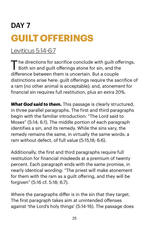## DAY<sub>7</sub> **GUILT OFFERINGS**

[Leviticus 5:14](https://www.biblegateway.com/passage/?search=lev+4:1-5:13&version=NIV)-6:7

The directions for sacrifice conclude with guilt offerings. Both sin and quilt offerings atone for sin, and the difference between them is uncertain. But a couple distinctions arise here: guilt offerings require the sacrifice of a ram (no other animal is acceptable); and, atonement for financial sin requires full restitution, plus an extra 20%.

*What God said to them.* This passage is clearly structured, in three parallel paragraphs. The first and third paragraphs begin with the familiar introduction: "The Lord said to Moses" (5:14; 6:1). The middle portion of each paragraph identifies a sin, and its remedy. While the sins vary, the remedy remains the same, in virtually the same words: a ram without defect, of full value (5:15,18; 6:6).

Additionally, the first and third paragraphs require full restitution for financial misdeeds at a premium of twenty percent. Each paragraph ends with the same promise, in nearly identical wording: "The priest will make atonement for them with the ram as a guilt offering, and they will be forgiven" (5:16 cf. 5:18; 6:7).

Where the paragraphs differ is in the sin that they target. The first paragraph takes aim at unintended offenses against 'the Lord's holy things' (5:14-16). The passage does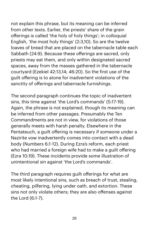not explain this phrase, but its meaning can be inferred from other texts. Earlier, the priests' share of the grain offerings is called 'the holy of holy things'; in colloquial English, 'the most holy things' (2:3,10). So are the twelve loaves of bread that are placed on the tabernacle table each Sabbath (24:9). Because these offerings are sacred, only priests may eat them, and only within designated sacred spaces, away from the masses gathered in the tabernacle courtyard (Ezekiel 42:13,14; 46:20). So the first use of the guilt offering is to atone for inadvertent violations of the sanctity of offerings and tabernacle furnishings.

The second paragraph continues the topic of inadvertent sins, this time against 'the Lord's commands' (5:17-19). Again, the phrase is not explained, though its meaning can be inferred from other passages. Presumably the Ten Commandments are not in view, for violations of those generally meets with harsh penalty. Elsewhere in the Pentateuch, a guilt offering is necessary if someone under a Nazirite vow inadvertently comes into contact with a dead body (Numbers 6:1-12). During Ezra's reform, each priest who had married a foreign wife had to make a guilt offering (Ezra 10:19). These incidents provide some illustration of unintentional sin against 'the Lord's commands'.

The third paragraph requires guilt offerings for what are most likely intentional sins, such as breach of trust, stealing, cheating, pilfering, lying under oath, and extortion. These sins not only violate others; they are also offenses against the Lord (6:1-7).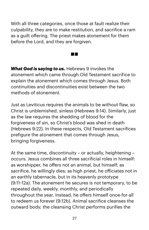With all three categories, once those at fault realize their culpability, they are to make restitution, and sacrifice a ram as a guilt offering. The priest makes atonement for them before the Lord, and they are forgiven.

an pa

*What God is saying to us.* Hebrews 9 invokes the atonement which came through Old Testament sacrifice to explain the atonement which comes through Jesus. Both continuities and discontinuities exist between the two methods of atonement.

Just as Leviticus requires the animals to be without flaw, so Christ is unblemished, sinless (Hebrews 9:14). Similarly, just as the law requires the shedding of blood for the forgiveness of sin, so Christ's blood was shed in death (Hebrews 9:22). In these respects, Old Testament sacrifices prefigure the atonement that comes through Jesus, bringing forgiveness.

At the same time, discontinuity – or actually, heightening – occurs. Jesus combines all three sacrificial roles in himself: as worshipper, he offers not an animal, but himself; as sacrifice, he willingly dies; as high priest, he oficiates not in an earthly tabernacle, but in its heavenly prototype (9:11-12a). The atonement he secures is not temporary, to be repeated daily, weekly, monthly, and periodically throughout the year. Instead, he offers himself once-for-all to redeem us forever (9:12b). Animal sacrifice cleanses the outward body; the cleansing Christ performs purifies the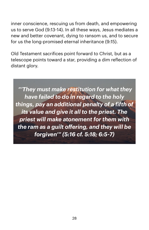inner conscience, rescuing us from death, and empowering us to serve God (9:13-14). In all these ways, Jesus mediates a new and better covenant, dying to ransom us, and to secure for us the long-promised eternal inheritance (9:15).

Old Testament sacrifices point forward to Christ, but as a telescope points toward a star, providing a dim reflection of distant glory.

 *"'They must make restitution for what they have failed to do in regard to the holy things, pay an additional penalty of a fifth of its value and give it all to the priest. The priest will make atonement for them with the ram as a guilt offering, and they will be forgiven'" (5:16 cf. 5:18; 6:5-7)*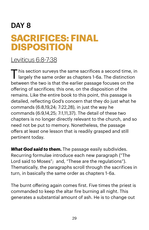### DAY 8 **SACRIFICES: FINAL DISPOSITION**

#### [Leviticus 6:8](https://www.biblegateway.com/passage/?search=lev+6:8-7:38&version=NIV)-7:38

This section surveys the same sacrifices a second time, in largely the same order as chapters 1-6a. The distinction between the two is that the earlier passage focuses on the offering of sacrifices; this one, on the disposition of the remains. Like the entire book to this point, this passage is detailed, reflecting God's concern that they do just what he commands (6:8,19,24; 7:22,28), in just the way he commands (6:9,14,25; 7:1,11,37). The detail of these two chapters is no longer directly relevant to the church, and so need not be put to memory. Nonetheless, the passage offers at least one lesson that is readily grasped and still pertinent today.

*What God said to them.* The passage easily subdivides. Recurring formulae introduce each new paragraph ("The Lord said to Moses"; and, "These are the regulations"). Thematically, the paragraphs scroll through the sacrifices in turn, in basically the same order as chapters 1-6a.

The burnt offering again comes first. Five times the priest is commanded to keep the altar fire burning all night. This generates a substantial amount of ash. He is to change out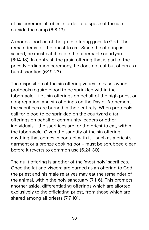of his ceremonial robes in order to dispose of the ash outside the camp (6:8-13).

A modest portion of the grain offering goes to God. The remainder is for the priest to eat. Since the offering is sacred, he must eat it inside the tabernacle courtyard (6:14-18). In contrast, the grain offering that is part of the priestly ordination ceremony, he does not eat but offers as a burnt sacrifice (6:19-23).

The disposition of the sin offering varies. In cases when protocols require blood to be sprinkled within the tabernacle – i.e., sin offerings on behalf of the high priest or congregation, and sin offerings on the Day of Atonement – the sacrifices are burned in their entirety. When protocols call for blood to be sprinkled on the courtyard altar – offerings on behalf of community leaders or other individuals – the sacrifices are for the priest to eat, within the tabernacle. Given the sanctity of the sin offering, anything that comes in contact with it – such as a priest's garment or a bronze cooking pot – must be scrubbed clean before it reverts to common use (6:24-30).

The guilt offering is another of the 'most holy' sacrifices. Once the fat and viscera are burned as an offering to God, the priest and his male relatives may eat the remainder of the animal, within the holy sanctuary (7:1-6). This prompts another aside, differentiating offerings which are allotted exclusively to the oficiating priest, from those which are shared among all priests (7:7-10).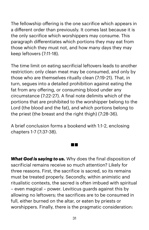The fellowship offering is the one sacrifice which appears in a different order than previously. It comes last because it is the only sacrifice which worshippers may consume. This paragraph differentiates which portions they may eat from those which they must not, and how many days they may keep leftovers (7:11-18).

The time limit on eating sacrificial leftovers leads to another restriction: only clean meat may be consumed, and only by those who are themselves ritually clean (7:19-21). That, in turn, segues into a detailed prohibition against eating the fat from any offering, or consuming blood under any circumstance (7:22-27). A final note delimits which of the portions that are prohibited to the worshipper belong to the Lord (the blood and the fat), and which portions belong to the priest (the breast and the right thigh) (7:28-36).

A brief conclusion forms a bookend with 1:1-2, enclosing chapters 1-7 (7:37-38).

 $\sim 100$ 

*What God is saying to us.* Why does the final disposition of sacrificial remains receive so much attention? Likely for three reasons. First, the sacrifice is sacred, so its remains must be treated properly. Secondly, within animistic and ritualistic contexts, the sacred is often imbued with spiritual – even magical – power. Leviticus guards against this by allowing no leftovers; the sacrifices are to be consumed in full, either burned on the altar, or eaten by priests or worshippers. Finally, there is the pragmatic consideration: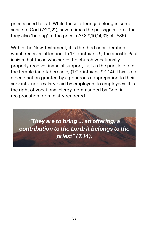priests need to eat. While these offerings belong in some sense to God (7:20,21), seven times the passage afirms that they also 'belong' to the priest (7:7,8,9,10,14,31; cf. 7:35).

Within the New Testament, it is the third consideration which receives attention. In 1 Corinthians 9, the apostle Paul insists that those who serve the church vocationally properly receive financial support, just as the priests did in the temple (and tabernacle) (1 Corinthians 9:1-14). This is not a benefaction granted by a generous congregation to their servants, nor a salary paid by employers to employees. It is the right of vocational clergy, commanded by God, in reciprocation for ministry rendered.

*"They are to bring ... an offering, a contribution to the Lord; it belongs to the priest" (7:14).*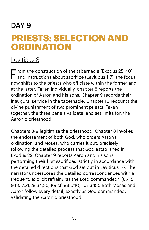#### DAY 9

### **PRIESTS: SELECTION AND ORDINATION**

#### [Leviticus 8](https://www.biblegateway.com/passage/?search=lev+8&version=NIV)

From the construction of the tabernacle (Exodus 25-40), and instructions about sacrifice (Leviticus 1-7), the focus now shifts to the priests who oficiate within the former and at the latter. Taken individually, chapter 8 reports the ordination of Aaron and his sons. Chapter 9 records their inaugural service in the tabernacle. Chapter 10 recounts the divine punishment of two prominent priests. Taken together, the three panels validate, and set limits for, the Aaronic priesthood.

Chapters 8-9 legitimize the priesthood. Chapter 8 invokes the endorsement of both God, who orders Aaron's ordination, and Moses, who carries it out, precisely following the detailed process that God established in Exodus 29. Chapter 9 reports Aaron and his sons performing their first sacrifices, strictly in accordance with the detailed directions that God set out in Leviticus 1-7. The narrator underscores the detailed correspondences with a frequent, explicit refrain: "as the Lord commanded" (8:4,5, 9,13,17,21,29,34,35,36; cf. 9:6,7,10; 10:13,15). Both Moses and Aaron follow every detail, exactly as God commanded, validating the Aaronic priesthood.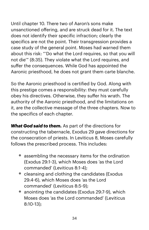Until chapter 10. There two of Aaron's sons make unsanctioned offering, and are struck dead for it. The text does not identify their specific infraction; clearly the specifics are not the point. Their transgression provides a case study of the general point. Moses had warned them about this risk: "'Do what the Lord requires, so that you will not die'" (8:35). They violate what the Lord requires, and suffer the consequences. While God has appointed the Aaronic priesthood, he does not grant them carte blanche.

So the Aaronic priesthood is certified by God. Along with this prestige comes a responsibility: they must carefully obey his directives. Otherwise, they suffer his wrath. The authority of the Aaronic priesthood, and the limitations on it, are the collective message of the three chapters. Now to the specifics of each chapter.

*What God said to them.* As part of the directions for constructing the tabernacle, Exodus 29 gave directions for the consecration of priests. In Leviticus 8, Moses carefully follows the prescribed process. This includes:

- assembling the necessary items for the ordination (Exodus 29:1-3), which Moses does 'as the Lord commanded' (Leviticus 8:1-4);
- cleansing and clothing the candidates (Exodus 29:4-6), which Moses does 'as the Lord commanded' (Leviticus 8:5-9);
- anointing the candidates (Exodus 29:7-9), which Moses does 'as the Lord commanded' (Leviticus 8:10-13);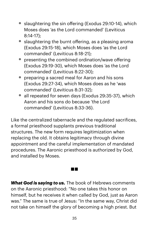- slaughtering the sin offering (Exodus 29:10-14), which Moses does 'as the Lord commanded' (Leviticus 8:14-17);
- slaughtering the burnt offering, as a pleasing aroma (Exodus 29:15-18), which Moses does 'as the Lord commanded' (Leviticus 8:18-21);
- presenting the combined ordination/wave offering (Exodus 29:19-30), which Moses does 'as the Lord commanded' (Leviticus 8:22-30);
- preparing a sacred meal for Aaron and his sons (Exodus 29:27-34), which Moses does as he 'was commanded' (Leviticus 8:31-32);
- all repeated for seven days (Exodus 29:35-37), which Aaron and his sons do because 'the Lord commanded' (Leviticus 8:33-36).

Like the centralized tabernacle and the regulated sacrifices, a formal priesthood supplants previous traditional structures. The new form requires legitimization when replacing the old. It obtains legitimacy through divine appointment and the careful implementation of mandated procedures. The Aaronic priesthood is authorized by God, and installed by Moses.

*What God is saying to us.* The book of Hebrews comments on the Aaronic priesthood: "No one takes this honor on himself, but he receives it when called by God, just as Aaron was." The same is true of Jesus: "In the same way, Christ did not take on himself the glory of becoming a high priest. But

T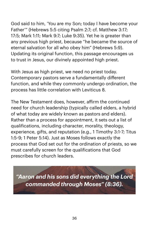God said to him, 'You are my Son; today I have become your Father'" (Hebrews 5:5 citing Psalm 2:7; cf. Matthew 3:17; 17:5; Mark 1:11; Mark 9:7; Luke 9:35). Yet he is greater than any previous high priest, because "he became the source of eternal salvation for all who obey him" (Hebrews 5:9). Updating its original function, this passage encourages us to trust in Jesus, our divinely appointed high priest.

With Jesus as high priest, we need no priest today. Contemporary pastors serve a fundamentally different function, and while they commonly undergo ordination, the process has little correlation with Leviticus 8.

The New Testament does, however, afirm the continued need for church leadership (typically called elders, a hybrid of what today are widely known as pastors and elders). Rather than a process for appointment, it sets out a list of qualifications, including character, morality, theology, experience, gifts, and reputation (e.g., 1 Timothy 3:1-7; Titus 1:5-9; 1 Peter 5:14). Just as Moses follows exactly the process that God set out for the ordination of priests, so we must carefully screen for the qualifications that God prescribes for church leaders.

*"Aaron and his sons did everything the Lord commanded through Moses" (8:36).*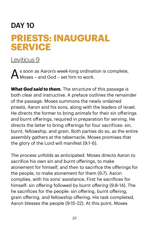# DAY 10 **PRIESTS: INAUGURAL SERVICE**

#### [Leviticus 9](https://www.biblegateway.com/passage/?search=lev+9&version=NIV)

s soon as Aaron's week-long ordination is complete, Moses – and God – set him to work.

*What God said to them.* The structure of this passage is both clear and instructive. A preface outlines the remainder of the passage. Moses summons the newly ordained priests, Aaron and his sons, along with the leaders of Israel. He directs the former to bring animals for their sin offerings and burnt offerings, required in preparation for serving. He directs the latter to bring offerings for four sacrifices: sin, burnt, fellowship, and grain. Both parties do so, as the entire assembly gathers at the tabernacle. Moses promises that the glory of the Lord will manifest (9:1-6).

The process unfolds as anticipated. Moses directs Aaron to sacrifice his own sin and burnt offerings, to make atonement for himself, and then to sacrifice the offerings for the people, to make atonement for them (9:7). Aaron complies, with his sons' assistance. First he sacrifices for himself: sin offering followed by burnt offering (9:8-14). The he sacrifices for the people: sin offering, burnt offering, grain offering, and fellowship offering. His task completed, Aaron blesses the people (9:15-22). At this point, Moses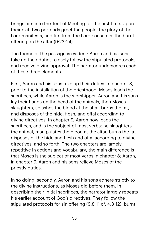brings him into the Tent of Meeting for the first time. Upon their exit, two portends greet the people: the glory of the Lord manifests, and fire from the Lord consumes the burnt offering on the altar (9:23-24).

The theme of the passage is evident: Aaron and his sons take up their duties, closely follow the stipulated protocols, and receive divine approval. The narrator underscores each of these three elements.

First, Aaron and his sons take up their duties. In chapter 8, prior to the installation of the priesthood, Moses leads the sacrifices, while Aaron is the worshipper. Aaron and his sons lay their hands on the head of the animals, then Moses slaughters, splashes the blood at the altar, burns the fat, and disposes of the hide, flesh, and offal according to divine directives. In chapter 9, Aaron now leads the sacrifices, and is the subject of most verbs: he slaughters the animal, manipulates the blood at the altar, burns the fat, disposes of the hide and flesh and offal according to divine directives, and so forth. The two chapters are largely repetitive in actions and vocabulary; the main difference is that Moses is the subject of most verbs in chapter 8; Aaron, in chapter 9. Aaron and his sons relieve Moses of the priestly duties.

In so doing, secondly, Aaron and his sons adhere strictly to the divine instructions, as Moses did before them. In describing their initial sacrifices, the narrator largely repeats his earlier account of God's directives. They follow the stipulated protocols for sin offering (9:8-11 cf. 4:3-12), burnt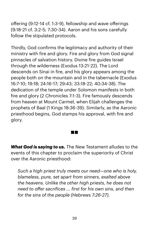offering (9:12-14 cf. 1:3-9), fellowship and wave offerings (9:18-21 cf. 3:2-5; 7:30-34). Aaron and his sons carefully follow the stipulated protocols.

Thirdly, God confirms the legitimacy and authority of their ministry with fire and glory. Fire and glory from God signal pinnacles of salvation history. Divine fire guides Israel through the wilderness (Exodus 13:21-22). The Lord descends on Sinai in fire, and his glory appears among the people both on the mountain and in the tabernacle (Exodus 16:7-10; 19:18; 24:16-17; 29:43; 33:18-22; 40:34-38). The dedication of the temple under Solomon manifests in both fire and glory (2 Chronicles 7:1-3). Fire famously descends from heaven at Mount Carmel, when Elijah challenges the prophets of Baal (1 Kings 18:36-39). Similarly, as the Aaronic priesthood begins, God stamps his approval, with fire and glory.

*What God is saying to us.* The New Testament alludes to the events of this chapter to proclaim the superiority of Christ over the Aaronic priesthood:

*Such a high priest truly meets our need—one who is holy, blameless, pure, set apart from sinners, exalted above the heavens. Unlike the other high priests, he does not need to offer sacrifices ... first for his own sins, and then for the sins of the people (Hebrews 7:26-27).*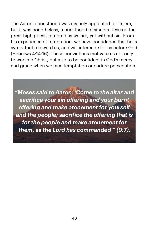The Aaronic priesthood was divinely appointed for its era, but it was nonetheless, a priesthood of sinners. Jesus is the great high priest, tempted as we are, yet without sin. From his experience of temptation, we have confidence that he is sympathetic toward us, and will intercede for us before God (Hebrews 4:14-16). These convictions motivate us not only to worship Christ, but also to be confident in God's mercy and grace when we face temptation or endure persecution.

*"Moses said to Aaron, 'Come to the altar and sacrifice your sin offering and your burnt offering and make atonement for yourself and the people; sacrifice the offering that is for the people and make atonement for them, as the Lord has commanded'" (9:7).*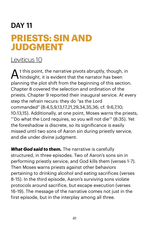# DAY 11 **PRIESTS: SIN AND JUDGMENT**

#### [Leviticus 10](https://www.biblegateway.com/passage/?search=lev+10&version=NIV)

 $\mathbf \Lambda$  t this point, the narrative pivots abruptly, though, in hindsight, it is evident that the narrator has been planning the plot shift from the beginning of this section. Chapter 8 covered the selection and ordination of the priests. Chapter 9 reported their inaugural service. At every step the refrain recurs: they do "as the Lord commanded" (8:4,5,9,13,17,21,29,34,35,36; cf. 9:6,7,10; 10:13,15). Additionally, at one point, Moses warns the priests, "'Do what the Lord requires, so you will not die'" (8:35). Yet the foreshadow is discrete, so its significance is easily missed until two sons of Aaron sin during priestly service, and die under divine judgment.

*What God said to them.* The narrative is carefully structured, in three episodes. Two of Aaron's sons sin in performing priestly service, and God kills them (verses 1-7). Then Moses warns priests against other behaviors pertaining to drinking alcohol and eating sacrifices (verses 8-15). In the third episode, Aaron's surviving sons violate protocols around sacrifice, but escape execution (verses 16-19). The message of the narrative comes not just in the first episode, but in the interplay among all three.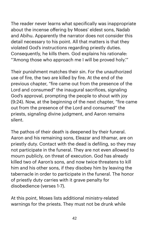The reader never learns what specifically was inappropriate about the incense offering by Moses' eldest sons, Nadab and Abihu. Apparently the narrator does not consider this detail necessary to his point. All that matters is that they violated God's instructions regarding priestly duties. Consequently, he kills them. God explains his rationale: "'Among those who approach me I will be proved holy.'"

Their punishment matches their sin. For the unauthorized use of fire, the two are killed by fire. At the end of the previous chapter, "fire came out from the presence of the Lord and consumed" the inaugural sacrifices, signaling God's approval, prompting the people to shout with joy (9:24). Now, at the beginning of the next chapter, "fire came out from the presence of the Lord and consumed" the priests, signaling divine judgment, and Aaron remains silent.

The pathos of their death is deepened by their funeral. Aaron and his remaining sons, Eleazar and Ithamar, are on priestly duty. Contact with the dead is defiling, so they may not participate in the funeral. They are not even allowed to mourn publicly, on threat of execution. God has already killed two of Aaron's sons, and now twice threatens to kill him and his other sons, if they disobey him by leaving the tabernacle in order to participate in the funeral. The honor of priestly duty carries with it grave penalty for disobedience (verses 1-7).

At this point, Moses lists additional ministry-related warnings for the priests. They must not be drunk while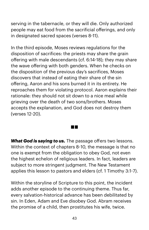serving in the tabernacle, or they will die. Only authorized people may eat food from the sacrificial offerings, and only in designated sacred spaces (verses 8-11).

In the third episode, Moses reviews regulations for the disposition of sacrifices: the priests may share the grain offering with male descendants (cf. 6:14-18); they may share the wave offering with both genders. When he checks on the disposition of the previous day's sacrifices, Moses discovers that instead of eating their share of the sin offering, Aaron and his sons burned it in its entirety. He reproaches them for violating protocol. Aaron explains their rationale: they should not sit down to a nice meal while grieving over the death of two sons/brothers. Moses accepts the explanation, and God does not destroy them (verses 12-20).

*What God is saying to us.* The passage offers two lessons. Within the context of chapters 8-10, the message is that no one is exempt from the obligation to obey God, not even the highest echelon of religious leaders. In fact, leaders are subject to more stringent judgment. The New Testament applies this lesson to pastors and elders (cf. 1 Timothy 3:1-7).

Within the storyline of Scripture to this point, the incident adds another episode to the continuing theme. Thus far, every salvation-historical advance has been debilitated by sin. In Eden, Adam and Eve disobey God. Abram receives the promise of a child, then prostitutes his wife, twice.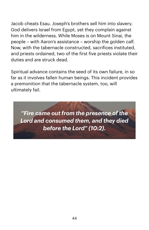Jacob cheats Esau. Joseph's brothers sell him into slavery. God delivers Israel from Egypt, yet they complain against him in the wilderness. While Moses is on Mount Sinai, the people – with Aaron's assistance – worship the golden calf. Now, with the tabernacle constructed, sacrifices instituted, and priests ordained, two of the first five priests violate their duties and are struck dead.

Spiritual advance contains the seed of its own failure, in so far as it involves fallen human beings. This incident provides a premonition that the tabernacle system, too, will ultimately fail.

*"Fire came out from the presence of the Lord and consumed them, and they died before the Lord" (10:2).*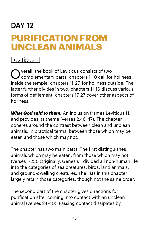# DAY 12 **PURIFICATION FROM UNCLEAN ANIMALS**

#### [Leviticus 11](https://www.biblegateway.com/passage/?search=lev+11&version=NIV)

Overall, the book of Leviticus consists of two complementary parts: chapters 1-10 call for holiness inside the temple; chapters 11-27, for holiness outside. The latter further divides in two: chapters 11-16 discuss various forms of defilement; chapters 17-27 cover other aspects of holiness.

*What God said to them.* An inclusion frames Leviticus 11, and provides its theme (verses 2,46-47). The chapter coheres around the contrast between clean and unclean animals; in practical terms, between those which may be eaten and those which may not.

The chapter has two main parts. The first distinguishes animals which may be eaten, from those which may not (verses 1-23). Originally, Genesis 1 divided all non-human life into the categories of sea creatures, birds, land animals, and ground-dwelling creatures. The lists in this chapter largely retain those categories, though not the same order.

The second part of the chapter gives directions for purification after coming into contact with an unclean animal (verses 24-40). Passing contact dissipates by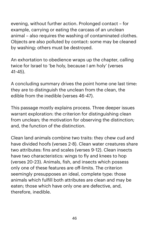evening, without further action. Prolonged contact – for example, carrying or eating the carcass of an unclean animal – also requires the washing of contaminated clothes. Objects are also polluted by contact: some may be cleaned by washing; others must be destroyed.

An exhortation to obedience wraps up the chapter, calling twice for Israel to 'be holy, because I am holy' (verses 41-45).

A concluding summary drives the point home one last time: they are to distinguish the unclean from the clean, the edible from the inedible (verses 46-47).

This passage mostly explains process. Three deeper issues warrant exploration: the criterion for distinguishing clean from unclean; the motivation for observing the distinction; and, the function of the distinction.

Clean land animals combine two traits: they chew cud and have divided hoofs (verses 2-8). Clean water creatures share two attributes: fins and scales (verses 9-12). Clean insects have two characteristics: wings to fly and knees to hop (verses 20-23). Animals, fish, and insects which possess only one of these features are off-limits. The criterion seemingly presupposes an ideal, complete type: those animals which fulfill both attributes are clean and may be eaten; those which have only one are defective, and, therefore, inedible.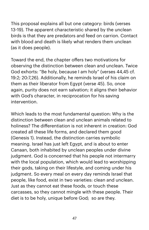This proposal explains all but one category: birds (verses 13-19). The apparent characteristic shared by the unclean birds is that they are predators and feed on carrion. Contact with blood and death is likely what renders them unclean (as it does people).

Toward the end, the chapter offers two motivations for observing the distinction between clean and unclean. Twice God exhorts: "Be holy, because I am holy" (verses 44,45 cf. 19:2; 20:7,26). Additionally, he reminds Israel of his claim on them as their liberator from Egypt (verse 45). So, once again, purity does not earn salvation; it aligns their behavior with God's character, in reciprocation for his saving intervention.

Which leads to the most fundamental question: Why is the distinction between clean and unclean animals related to holiness? The differentiation is not inherent in creation: God created all these life forms, and declared them good (Genesis 1). Instead, the distinction carries symbolic meaning. Israel has just left Egypt, and is about to enter Canaan, both inhabited by unclean peoples under divine judgment. God is concerned that his people not intermarry with the local population, which would lead to worshipping their gods, taking on their lifestyle, and coming under his judgment. So every meal on every day reminds Israel that people, like food, exist in two varieties: clean and unclean. Just as they cannot eat these foods, or touch these carcasses, so they cannot mingle with these people. Their diet is to be holy, unique before God; so are they.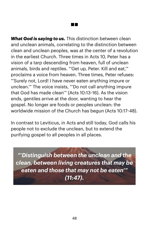*What God is saying to us.* This distinction between clean and unclean animals, correlating to the distinction between clean and unclean peoples, was at the center of a revolution in the earliest Church. Three times in Acts 10, Peter has a vision of a tarp descending from heaven, full of unclean animals, birds and reptiles. "'Get up, Peter. Kill and eat,'" proclaims a voice from heaven. Three times, Peter refuses: "'Surely not, Lord! I have never eaten anything impure or unclean.'" The voice insists, "'Do not call anything impure that God has made clean'" (Acts 10:13-16). As the vision ends, gentiles arrive at the door, wanting to hear the gospel. No longer are foods or peoples unclean: the worldwide mission of the Church has begun (Acts 10:17-48).

a ka

In contrast to Leviticus, in Acts and still today, God calls his people not to exclude the unclean, but to extend the purifying gospel to all peoples in all places.

*"'Distinguish between the unclean and the clean, between living creatures that may be eaten and those that may not be eaten'" (11:47).*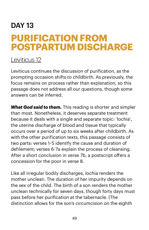# DAY 13 **PURIFICATION FROM POSTPARTUM DISCHARGE**

#### [Leviticus 12](https://www.biblegateway.com/passage/?search=lev+12&version=NIV)

Leviticus continues the discussion of purification, as the prompting occasion shifts to childbirth. As previously, the focus remains on process rather than explanation, so this passage does not address all our questions, though some answers can be inferred.

*What God said to them.* This reading is shorter and simpler than most. Nonetheless, it deserves separate treatment because it deals with a single and separate topic: 'lochia', the uterine discharge of blood and tissue that typically occurs over a period of up to six weeks after childbirth. As with the other purification texts, this passage consists of two parts: verses 1-5 identify the cause and duration of defilement; verses 6-7a explain the process of cleansing. After a short conclusion in verse 7b, a postscript offers a concession for the poor in verse 8.

Like all irregular bodily discharges, lochia renders the mother unclean. The duration of her impurity depends on the sex of the child. The birth of a son renders the mother unclean technically for seven days, though forty days must pass before her purification at the tabernacle. (The distinction allows for the son's circumcision on the eighth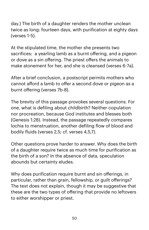day.) The birth of a daughter renders the mother unclean twice as long: fourteen days, with purification at eighty days (verses 1-5).

At the stipulated time, the mother she presents two sacrifices: a yearling lamb as a burnt offering, and a pigeon or dove as a sin offering. The priest offers the animals to make atonement for her, and she is cleansed (verses 6-7a).

After a brief conclusion, a postscript permits mothers who cannot afford a lamb to offer a second dove or pigeon as a burnt offering (verses 7b-8).

The brevity of this passage provokes several questions. For one, what is defiling about childbirth? Neither copulation nor procreation, because God institutes and blesses both (Genesis 1:28). Instead, the passage repeatedly compares lochia to menstruation, another defiling flow of blood and bodily fluids (verses 2,5; cf. verses 4,5,7).

Other questions prove harder to answer. Why does the birth of a daughter require twice as much time for purification as the birth of a son? In the absence of data, speculation abounds but certainty eludes.

Why does purification require burnt and sin offerings, in particular, rather than grain, fellowship, or guilt offerings? The text does not explain, though it may be suggestive that these are the two types of offering that provide no leftovers to either worshipper or priest.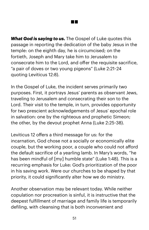*What God is saying to us.* The Gospel of Luke quotes this passage in reporting the dedication of the baby Jesus in the temple: on the eighth day, he is circumcised; on the fortieth, Joseph and Mary take him to Jerusalem to consecrate him to the Lord, and offer the requisite sacrifice, "a pair of doves or two young pigeons" (Luke 2:21-24 quoting Leviticus 12:8).

In the Gospel of Luke, the incident serves primarily two purposes. First, it portrays Jesus' parents as observant Jews, traveling to Jerusalem and consecrating their son to the Lord. Their visit to the temple, in turn, provides opportunity for two prescient acknowledgements of Jesus' epochal role in salvation: one by the righteous and prophetic Simeon; the other, by the devout prophet Anna (Luke 2:25-38).

Leviticus 12 offers a third message for us: for the incarnation, God chose not a socially or economically elite couple, but the working poor, a couple who could not afford the default sacrifice of a yearling lamb. In Mary's words, "he has been mindful of [my] humble state" (Luke 1:48). This is a recurring emphasis for Luke: God's prioritization of the poor in his saving work. Were our churches to be shaped by that priority, it could significantly alter how we do ministry.

Another observation may be relevant today. While neither copulation nor procreation is sinful, it is instructive that the deepest fulfillment of marriage and family life is temporarily defiling, with cleansing that is both inconvenient and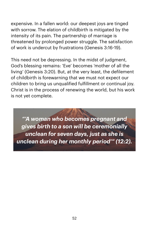expensive. In a fallen world: our deepest joys are tinged with sorrow. The elation of childbirth is mitigated by the intensity of its pain. The partnership of marriage is threatened by prolonged power struggle. The satisfaction of work is undercut by frustrations (Genesis 3:16-19).

This need not be depressing. In the midst of judgment, God's blessing remains: 'Eve' becomes 'mother of all the living' (Genesis 3:20). But, at the very least, the defilement of childbirth is forewarning that we must not expect our children to bring us unqualified fulfillment or continual joy. Christ is in the process of renewing the world, but his work is not yet complete.

*"'A woman who becomes pregnant and gives birth to a son will be ceremonially unclean for seven days, just as she is unclean during her monthly period'" (12:2).*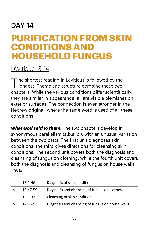### DAY 14

## **PURIFICATION FROM SKIN CONDITIONS AND HOUSEHOLD FUNGUS**

#### [Leviticus 13](https://www.biblegateway.com/passage/?search=lev+13-14&version=NIV)-14

The shortest reading in Leviticus is followed by the I longest. Theme and structure combine these two chapters. While the various conditions differ scientifically, they are similar in appearance: all are visible blemishes on exterior surfaces. The connection is even stronger in the Hebrew original, where the same word is used of all these conditions.

*What God said to them.* The two chapters develop in synonymous parallelism (a,b,a',b'), with an unusual variation between the two parts. The first unit diagnoses skin conditions; the third gives directions for cleansing skin conditions. The second unit covers both the diagnosis and cleansing of fungus on clothing, while the fourth unit covers both the diagnosis and cleansing of fungus on house walls. Thus:

| a             | $13:1 - 46$ | Diagnosis of skin conditions                     |
|---------------|-------------|--------------------------------------------------|
| b             | 13:47-59    | Diagnosis and cleansing of fungus on clothes     |
| $\mathsf{a}'$ | $14:1 - 32$ | Cleansing of skin conditions                     |
| h'            | 14:33-53    | Diagnosis and cleansing of fungus on house walls |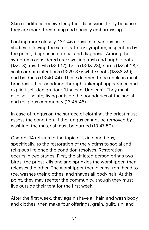Skin conditions receive lengthier discussion, likely because they are more threatening and socially embarrassing.

Looking more closely, 13:1-46 consists of various casestudies following the same pattern: symptom, inspection by the priest, diagnostic criteria, and diagnosis. Among the symptoms considered are: swelling, rash and bright spots (13:2-8); raw flesh (13:9-17); boils (13:18-23); burns (13:24-28); scalp or chin infections (13:29-37); white spots (13:38-39); and baldness (13:40-44). Those deemed to be unclean must broadcast their condition through unkempt appearance and explicit self-denigration: "Unclean! Unclean!" They must also self-isolate, living outside the boundaries of the social and religious community (13:45-46).

In case of fungus on the surface of clothing, the priest must assess the condition. If the fungus cannot be removed by washing, the material must be burned (13:47-59).

Chapter 14 returns to the topic of skin conditions, specifically, to the restoration of the victims to social and religious life once the condition resolves. Restoration occurs in two stages. First, the aflicted person brings two birds; the priest kills one and sprinkles the worshipper, then releases the other. The worshipper then cleans from head to toe, washes their clothes, and shaves all body hair. At this point, they may reenter the community, though they must live outside their tent for the first week.

After the first week, they again shave all hair, and wash body and clothes, then make four offerings: grain, guilt, sin, and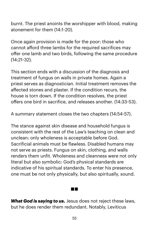burnt. The priest anoints the worshipper with blood, making atonement for them (14:1-20).

Once again provision is made for the poor: those who cannot afford three lambs for the required sacrifices may offer one lamb and two birds, following the same procedure (14:21-32).

This section ends with a discussion of the diagnosis and treatment of fungus on walls in private homes. Again a priest serves as diagnostician. Initial treatment removes the affected stones and plaster. If the condition recurs, the house is torn down. If the condition resolves, the priest offers one bird in sacrifice, and releases another. (14:33-53).

A summary statement closes the two chapters (14:54-57).

The stance against skin disease and household fungus is consistent with the rest of the Law's teaching on clean and unclean: only wholeness is acceptable before God. Sacrificial animals must be flawless. Disabled humans may not serve as priests. Fungus on skin, clothing, and walls renders them unfit. Wholeness and cleanness were not only literal but also symbolic: God's physical standards are indicative of his spiritual standards. To enter his presence, one must be not only physically, but also spiritually, sound.

*What God is saying to us.* Jesus does not reject these laws, but he does render them redundant. Notably, Leviticus

**Contract**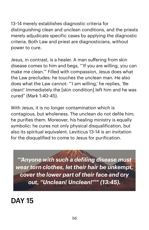13-14 merely establishes diagnostic criteria for distinguishing clean and unclean conditions, and the priests merely adjudicate specific cases by applying the diagnostic criteria. Both Law and priest are diagnosticians, without power to cure.

Jesus, in contrast, is a healer. A man suffering from skin disease comes to him and begs, "'If you are willing, you can make me clean.'" Filled with compassion, Jesus does what the Law precludes: he touches the unclean man. He also does what the Law cannot: "'I am willing,' he replies, 'Be clean!' Immediately the [skin condition] left him and he was cured" (Mark 1:40-45).

With Jesus, it is no longer contamination which is contagious, but wholeness. The unclean do not defile him; he purifies them. Moreover, his healing ministry is equally symbolic: he cures not only physical disqualification, but also its spiritual equivalent. Leviticus 13-14 is an invitation for the disqualified to come to Jesus for purification.

*"'Anyone with such a defiling disease must wear torn clothes, let their hair be unkempt, cover the lower part of their face and cry out, "Unclean! Unclean!"'" (13:45).*

DAY 15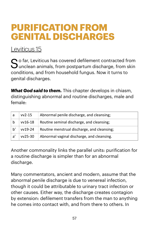## **PURIFICATION FROM GENITAL DISCHARGES**

### [Leviticus 15](https://www.biblegateway.com/passage/?search=lev+15&version=NIV)

 $S$  o far, Leviticus has covered defilement contracted from  $S$  unclean animals, from postpartum discharge, from skin conditions, and from household fungus. Now it turns to genital discharges.

*What God said to them.* This chapter develops in chiasm, distinguishing abnormal and routine discharges, male and female:

| a  | $vv2-15$ | Abnormal penile discharge, and cleansing;   |
|----|----------|---------------------------------------------|
| b  | vv16-18  | Routine seminal discharge, and cleansing;   |
| h' | vv19-24  | Routine menstrual discharge, and cleansing; |
| a' | vv25-30  | Abnormal vaginal discharge, and cleansing.  |

Another commonality links the parallel units: purification for a routine discharge is simpler than for an abnormal discharge.

Many commentators, ancient and modern, assume that the abnormal penile discharge is due to venereal infection, though it could be attributable to urinary tract infection or other causes. Either way, the discharge creates contagion by extension: defilement transfers from the man to anything he comes into contact with, and from there to others. In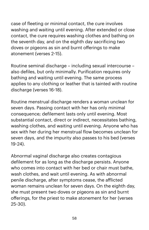case of fleeting or minimal contact, the cure involves washing and waiting until evening. After extended or close contact, the cure requires washing clothes and bathing on the seventh day, and on the eighth day sacrificing two doves or pigeons as sin and burnt offerings to make atonement (verses 2-15).

Routine seminal discharge – including sexual intercourse – also defiles, but only minimally. Purification requires only bathing and waiting until evening. The same process applies to any clothing or leather that is tainted with routine discharge (verses 16-18).

Routine menstrual discharge renders a woman unclean for seven days. Passing contact with her has only minimal consequence; defilement lasts only until evening. Most substantial contact, direct or indirect, necessitates bathing, washing clothes, and waiting until evening. Anyone who has sex with her during her menstrual flow becomes unclean for seven days, and the impurity also passes to his bed (verses 19-24).

Abnormal vaginal discharge also creates contagious defilement for as long as the discharge persists. Anyone who comes into contact with her bed or chair must bathe, wash clothes, and wait until evening. As with abnormal penile discharge, after symptoms cease, the aflicted woman remains unclean for seven days. On the eighth day, she must present two doves or pigeons as sin and burnt offerings, for the priest to make atonement for her (verses 25-30).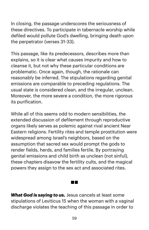In closing, the passage underscores the seriousness of these directives. To participate in tabernacle worship while defiled would pollute God's dwelling, bringing death upon the perpetrator (verses 31-33).

This passage, like its predecessors, describes more than explains, so it is clear what causes impurity and how to cleanse it, but not why these particular conditions are problematic. Once again, though, the rationale can reasonably be inferred. The stipulations regarding genital emissions are comparable to preceding regulations. The usual state is considered clean, and the irregular, unclean. Moreover, the more severe a condition, the more rigorous its purification.

While all of this seems odd to modern sensibilities, the extended discussion of defilement through reproductive organs likely serves as polemic against rival ancient Near Eastern religions. Fertility rites and temple prostitution were widespread among Israel's neighbors, based on the assumption that sacred sex would prompt the gods to render fields, herds, and families fertile. By portraying genital emissions and child birth as unclean (not sinful), these chapters disavow the fertility cults, and the magical powers they assign to the sex act and associated rites.

*What God is saying to us.* Jesus cancels at least some stipulations of Leviticus 15 when the woman with a vaginal discharge violates the teaching of this passage in order to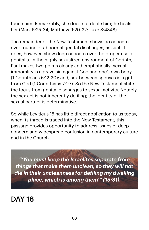touch him. Remarkably, she does not defile him; he heals her (Mark 5:25-34; Matthew 9:20-22; Luke 8:4348).

The remainder of the New Testament shows no concern over routine or abnormal genital discharges, as such. It does, however, show deep concern over the proper use of genitalia. In the highly sexualized environment of Corinth, Paul makes two points clearly and emphatically: sexual immorality is a grave sin against God and one's own body (1 Corinthians 6:12-20); and, sex between spouses is a gift from God (1 Corinthians 7:1-7). So the New Testament shifts the focus from genital discharges to sexual activity. Notably, the sex act is not inherently defiling; the identity of the sexual partner is determinative.

So while Leviticus 15 has little direct application to us today, when its thread is traced into the New Testament, this passage provides opportunity to address issues of deep concern and widespread confusion in contemporary culture and in the Church.

*"'You must keep the Israelites separate from things that make them unclean, so they will not die in their uncleanness for defiling my dwelling place, which is among them'" (15:31).*

DAY 16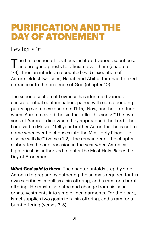### **PURIFICATION AND THE DAY OF ATONEMENT**

### [Leviticus 16](https://www.biblegateway.com/passage/?search=lev+16&version=NIV)

The first section of Leviticus instituted various sacrifices, and assigned priests to oficiate over them (chapters 1-9). Then an interlude recounted God's execution of Aaron's eldest two sons, Nadab and Abihu, for unauthorized entrance into the presence of God (chapter 10).

The second section of Leviticus has identified various causes of ritual contamination, paired with corresponding purifying sacrifices (chapters 11-15). Now, another interlude warns Aaron to avoid the sin that killed his sons: "'The two sons of Aaron ... died when they approached the Lord. The Lord said to Moses: 'Tell your brother Aaron that he is not to come whenever he chooses into the Most Holy Place ... or else he will die'" (verses 1-2). The remainder of the chapter elaborates the one occasion in the year when Aaron, as high priest, is authorized to enter the Most Holy Place: the Day of Atonement.

**What God said to them.** The chapter unfolds step by step. Aaron is to prepare by gathering the animals required for his own sacrifices: a bull as a sin offering, and a ram for a burnt offering. He must also bathe and change from his usual ornate vestments into simple linen garments. For their part, Israel supplies two goats for a sin offering, and a ram for a burnt offering (verses 3-5).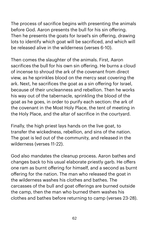The process of sacrifice begins with presenting the animals before God. Aaron presents the bull for his sin offering. Then he presents the goats for Israel's sin offering, drawing lots to identify which goat will be sacrificed, and which will be released alive in the wilderness (verses 6-10).

Then comes the slaughter of the animals. First, Aaron sacrifices the bull for his own sin offering. He burns a cloud of incense to shroud the ark of the covenant from direct view, as he sprinkles blood on the mercy seat covering the ark. Next, he sacrifices the goat as a sin offering for Israel, because of their uncleanness and rebellion. Then he works his way out of the tabernacle, sprinkling the blood of the goat as he goes, in order to purify each section: the ark of the covenant in the Most Holy Place, the tent of meeting in the Holy Place, and the altar of sacrifice in the courtyard.

Finally, the high priest lays hands on the live goat, to transfer the wickedness, rebellion, and sins of the nation. The goat is led out of the community, and released in the wilderness (verses 11-22).

God also mandates the cleanup process. Aaron bathes and changes back to his usual elaborate priestly garb. He offers one ram as burnt offering for himself, and a second as burnt offering for the nation. The man who released the goat in the wilderness washes his clothes and bathes. The carcasses of the bull and goat offerings are burned outside the camp, then the man who burned them washes his clothes and bathes before returning to camp (verses 23-28).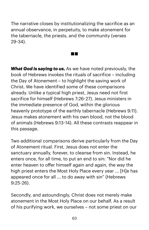The narrative closes by institutionalizing the sacrifice as an annual observance, in perpetuity, to make atonement for the tabernacle, the priests, and the community (verses 29-34).

**The Contract** 

*What God is saying to us.* As we have noted previously, the book of Hebrews invokes the rituals of sacrifice – including the Day of Atonement – to highlight the saving work of Christ. We have identified some of these comparisons already. Unlike a typical high priest, Jesus need not first sacrifice for himself (Hebrews 7:26-27). Jesus ministers in the immediate presence of God, within the glorious heavenly prototype of the earthly tabernacle (Hebrews 9:11). Jesus makes atonement with his own blood, not the blood of animals (Hebrews 9:13-14). All these contrasts reappear in this passage.

Two additional comparisons derive particularly from the Day of Atonement ritual. First, Jesus does not enter the sanctuary annually, forever, to cleanse from sin. Instead, he enters once, for all time, to put an end to sin: "Nor did he enter heaven to offer himself again and again, the way the high priest enters the Most Holy Place every year ... [H]e has appeared once for all ... to do away with sin" (Hebrews 9:25-26).

Secondly, and astoundingly, Christ does not merely make atonement in the Most Holy Place on our behalf. As a result of his purifying work, we ourselves – not some priest on our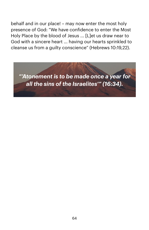behalf and in our place! – may now enter the most holy presence of God: "We have confidence to enter the Most Holy Place by the blood of Jesus ... [L]et us draw near to God with a sincere heart ... having our hearts sprinkled to cleanse us from a guilty conscience" (Hebrews 10:19,22).

*"'Atonement is to be made once a year for all the sins of the Israelites'" (16:34).*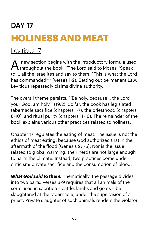# DAY 17 **HOLINESS AND MEAT**

### [Leviticus 17](https://www.biblegateway.com/passage/?search=lev+17&version=NIV)

A new section begins with the introductory formula used throughout the book: "The Lord said to Moses, 'Speak to ... all the Israelites and say to them: "This is what the Lord has commanded"'" (verses 1-2). Setting out permanent Law, Leviticus repeatedly claims divine authority.

The overall theme persists: "'Be holy, because I, the Lord your God, am holy'" (19:2). So far, the book has legislated tabernacle sacrifice (chapters 1-7), the priesthood (chapters 8-10), and ritual purity (chapters 11-16). The remainder of the book explains various other practices related to holiness.

Chapter 17 regulates the eating of meat. The issue is not the ethics of meat eating, because God authorized that in the aftermath of the flood (Genesis 9:1-6). Nor is the issue related to global warming: their herds are not large enough to harm the climate. Instead, two practices come under criticism: private sacrifice and the consumption of blood.

*What God said to them.* Thematically, the passage divides into two parts. Verses 3-9 requires that all animals of the sorts used in sacrifice – cattle, lambs and goats – be slaughtered at the tabernacle, under the supervision of a priest. Private slaughter of such animals renders the violator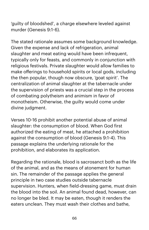'guilty of bloodshed', a charge elsewhere leveled against murder (Genesis 9:1-6).

The stated rationale assumes some background knowledge. Given the expense and lack of refrigeration, animal slaughter and meat eating would have been infrequent, typically only for feasts, and commonly in conjunction with religious festivals. Private slaughter would allow families to make offerings to household spirits or local gods, including the then popular, though now obscure, 'goat spirit'. The centralization of animal slaughter at the tabernacle under the supervision of priests was a crucial step in the process of combating polytheism and animism in favor of monotheism. Otherwise, the guilty would come under divine judgment.

Verses 10-16 prohibit another potential abuse of animal slaughter: the consumption of blood. When God first authorized the eating of meat, he attached a prohibition against the consumption of blood (Genesis 9:1-4). This passage explains the underlying rationale for the prohibition, and elaborates its application.

Regarding the rationale, blood is sacrosanct both as the life of the animal, and as the means of atonement for human sin. The remainder of the passage applies the general principle in two case studies outside tabernacle supervision. Hunters, when field-dressing game, must drain the blood into the soil. An animal found dead, however, can no longer be bled. It may be eaten, though it renders the eaters unclean. They must wash their clothes and bathe,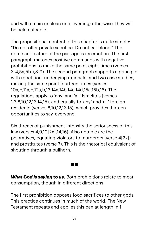and will remain unclean until evening; otherwise, they will be held culpable.

The propositional content of this chapter is quite simple: "Do not offer private sacrifice. Do not eat blood." The dominant feature of the passage is its emotion. The first paragraph matches positive commands with negative prohibitions to make the same point eight times (verses 3-4,5a,5b-7,8-9). The second paragraph supports a principle with repetition, underlying rationale, and two case studies, making the same point fourteen times (verses 10a,b,11a,b,12a,b,13,14a,14b,14c,14d,15a,15b,16). The regulations apply to 'any' and 'all' Israelites (verses 1,3,8,10,12,13,14,15), and equally to 'any' and 'all' foreign residents (verses 8,10,12,13,15); which provides thirteen opportunities to say 'everyone'.

Six threats of punishment intensify the seriousness of this law (verses 4,9,10[2x],14,16). Also notable are the pejoratives, equating violators to murderers (verse 4[2x]) and prostitutes (verse 7). This is the rhetorical equivalent of shouting through a bullhorn.

*What God is saying to us.* Both prohibitions relate to meat consumption, though in different directions.

**Contract** 

The first prohibition opposes food sacrifices to other gods. This practice continues in much of the world. The New Testament repeats and applies this ban at length in 1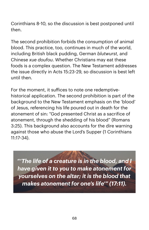Corinthians 8-10, so the discussion is best postponed until then.

The second prohibition forbids the consumption of animal blood. This practice, too, continues in much of the world, including British black pudding, German *blutwurst*, and Chinese *xue doufou*. Whether Christians may eat these foods is a complex question. The New Testament addresses the issue directly in Acts 15:23-29, so discussion is best left until then.

For the moment, it sufices to note one redemptivehistorical application. The second prohibition is part of the background to the New Testament emphasis on the 'blood' of Jesus, referencing his life poured out in death for the atonement of sin: "God presented Christ as a sacrifice of atonement, through the shedding of his blood" (Romans 3:25). This background also accounts for the dire warning against those who abuse the Lord's Supper (1 Corinthians 11:17-34).

*"'The life of a creature is in the blood, and I have given it to you to make atonement for yourselves on the altar; it is the blood that makes atonement for one's life'" (17:11).*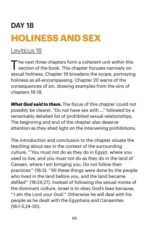# DAY 18 **HOLINESS AND SEX**

### [Leviticus 18](https://www.biblegateway.com/passage/?search=lev+18&version=NIV)

The next three chapters form a coherent unit within this<br>section of the book. This chapter focuses narrowly on sexual holiness. Chapter 19 broadens the scope, portraying holiness as all-encompassing. Chapter 20 warns of the consequences of sin, drawing examples from the sins of chapters 18-19.

*What God said to them.* The focus of this chapter could not possibly be clearer. "Do not have sex with...." followed by a remarkably detailed list of prohibited sexual relationships. The beginning and end of the chapter also deserve attention as they shed light on the intervening prohibitions.

The introduction and conclusion to the chapter situate the teaching about sex in the context of the surrounding culture. "'You must not do as they do in Egypt, where you used to live, and you must not do as they do in the land of Canaan, where I am bringing you. Do not follow their practices'" (18:3). "'All these things were done by the people who lived in the land before you, and the land became defiled'" (18:24,27). Instead of following the sexual mores of the dominant culture, Israel is to obey God's laws because, "'I am the Lord your God.'" Otherwise he will deal with his people as he dealt with the Egyptians and Canaanites (18:1-5,24-30).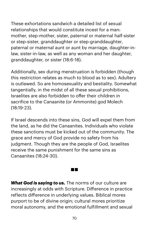These exhortations sandwich a detailed list of sexual relationships that would constitute incest for a man: mother, step-mother, sister, paternal or maternal half-sister or step-sister, granddaughter or step-granddaughter, paternal or maternal aunt or aunt by marriage, daughter-inlaw, sister-in-law, as well as any woman and her daughter, granddaughter, or sister (18:6-18).

Additionally, sex during menstruation is forbidden (though this restriction relates as much to blood as to sex). Adultery is outlawed. So are homosexuality and bestiality. Somewhat tangentially, in the midst of all these sexual prohibitions, Israelites are also forbidden to offer their children in sacrifice to the Canaanite (or Ammonite) god Molech (18:19-23).

If Israel descends into these sins, God will expel them from the land, as he did the Canaanites. Individuals who violate these sanctions must be kicked out of the community. The grace and mercy of God provide no safety from his judgment. Though they are the people of God, Israelites receive the same punishment for the same sins as Canaanites (18:24-30).

*What God is saying to us.* The norms of our culture are increasingly at odds with Scripture. Difference in practice reflects difference in underlying values. Biblical mores purport to be of divine origin; cultural mores prioritize moral autonomy, and the emotional fulfillment and sexual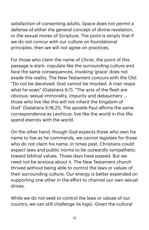satisfaction of consenting adults. Space does not permit a defense of either the general concept of divine revelation, or the sexual mores of Scripture. The point is simply that if we do not concur with our culture on foundational principles, then we will not agree on practices.

For those who claim the name of Christ, the point of this passage is stark: copulate like the surrounding culture and face the same consequences. Invoking 'grace' does not evade this reality. The New Testament concurs with the Old: "Do not be deceived: God cannot be mocked. A man reaps what he sows" (Galatians 6:7). "The acts of the flesh are obvious: sexual immorality, impurity and debauchery ... those who live like this will not inherit the kingdom of God" (Galatians 5:18,21). The apostle Paul afirms the same correspondence as Leviticus: live like the world in this life; spend eternity with the world.

On the other hand, though God expects those who own his name to live as he commands, we cannot legislate for those who do not claim his name. In times past, Christians could expect laws and public norms to be outwardly sympathetic toward biblical values. Those days have passed. But we need not be anxious about it. The New Testament church thrived without being able to control the laws or values of their surrounding culture. Our energy is better expended on supporting one other in the effort to channel our own sexual drives.

While we do not seek to control the laws or values of our country, we can still challenge its logic. Given the cultural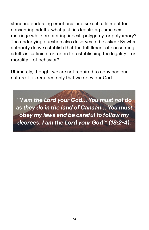standard endorsing emotional and sexual fulfillment for consenting adults, what justifies legalizing same-sex marriage while prohibiting incest, polygamy, or polyamory? The underlying question also deserves to be asked: By what authority do we establish that the fulfillment of consenting adults is suficient criterion for establishing the legality – or morality – of behavior?

Ultimately, though, we are not required to convince our culture. It is required only that we obey our God.

*"'I am the Lord your God... You must not do as they do in the land of Canaan... You must obey my laws and be careful to follow my decrees. I am the Lord your God'" (18:2-4).*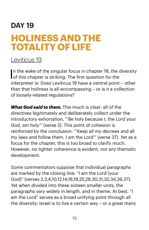## DAY 19 **HOLINESS AND THE TOTALITY OF LIFE**

#### [Leviticus 19](https://www.biblegateway.com/passage/?search=lev+19&version=NIV)

In the wake of the singular focus in chapter 18, the diversity<br>of this chapter is striking. The first question for the of this chapter is striking. The first question for the interpreter is: Does Leviticus 19 have a central point – other than that holiness is all-encompassing – or is it a collection of loosely-related regulations?

*What God said to them.* This much is clear: all of the directives legitimately and deliberately collect under the introductory exhortation, "'Be holy because I, the Lord your God, am holy'" (verse 2). This point of cohesion is reinforced by the conclusion: "'Keep all my decrees and all my laws and follow them. I am the Lord'" (verse 37). Yet as a focus for the chapter, this is too broad to clarify much. However, no tighter coherence is evident, nor any thematic development.

Some commentators suppose that individual paragraphs are marked by the closing line: "I am the Lord (your God)" (verses 2,3,4,10,12,14,16,18,25,28,30,31,32,34,36,37). Yet when divided into these sixteen smaller units, the paragraphs vary widely in length, and in theme. At best, "I am the Lord" serves as a broad unifying point through all the diversity: Israel is to live a certain way – or a great many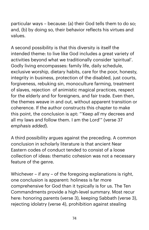particular ways – because: (a) their God tells them to do so; and, (b) by doing so, their behavior reflects his virtues and values.

A second possibility is that this diversity is itself the intended theme: to live like God includes a great variety of activities beyond what we traditionally consider 'spiritual'. Godly living encompasses: family life, daily schedule, exclusive worship, dietary habits, care for the poor, honesty, integrity in business, protection of the disabled, just courts, forgiveness, rebuking sin, monoculture farming, treatment of slaves, rejection of animistic magical practices, respect for the elderly and for foreigners, and fair trade. Even then, the themes weave in and out, without apparent transition or coherence. If the author constructs this chapter to make this point, the conclusion is apt: "'Keep *all* my decrees and all my laws and follow them. I am the Lord'" (verse 37 *emphasis added*).

A third possibility argues against the preceding. A common conclusion in scholarly literature is that ancient Near Eastern codes of conduct tended to consist of a loose collection of ideas: thematic cohesion was not a necessary feature of the genre.

Whichever – if any – of the foregoing explanations is right, one conclusion is apparent: holiness is far more comprehensive for God than it typically is for us. The Ten Commandments provide a high-level summary. Most recur here: honoring parents (verse 3), keeping Sabbath (verse 3), rejecting idolatry (verse 4), prohibition against stealing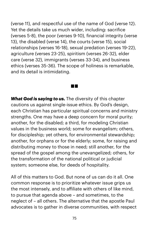(verse 11), and respectful use of the name of God (verse 12). Yet the details take us much wider, including: sacrifice (verses 5-8), the poor (verses 9-10), financial integrity (verse 13), the disabled (verse 14), the courts (verse 15), social relationships (verses 16-18), sexual predation (verses 19-22), agriculture (verses 23-25), spiritism (verses 26-32), elder care (verse 32), immigrants (verses 33-34), and business ethics (verses 35-36). The scope of holiness is remarkable, and its detail is intimidating.

**Contract** 

*What God is saying to us.* The diversity of this chapter cautions us against single-issue ethics. By God's design, each Christian has particular spiritual concerns and ministry strengths. One may have a deep concern for moral purity; another, for the disabled; a third, for modeling Christian values in the business world; some for evangelism; others, for discipleship; yet others, for environmental stewardship; another, for orphans or for the elderly; some, for raising and distributing money to those in need; still another, for the spread of the gospel among the unevangelized; others, for the transformation of the national political or judicial system; someone else, for deeds of hospitality.

All of this matters to God. But none of us can do it all. One common response is to prioritize whatever issue grips us the most intensely, and to afiliate with others of like mind, to pursue that agenda above – and sometimes, to the neglect of – all others. The alternative that the apostle Paul advocates is to gather in diverse communities, with respect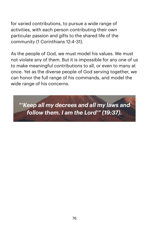for varied contributions, to pursue a wide range of activities, with each person contributing their own particular passion and gifts to the shared life of the community (1 Corinthians 12:4-31).

As the people of God, we must model his values. We must not violate any of them. But it is impossible for any one of us to make meaningful contributions to all, or even to many at once. Yet as the diverse people of God serving together, we can honor the full range of his commands, and model the wide range of his concerns.

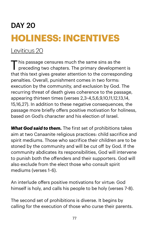# DAY 20 **HOLINESS: INCENTIVES**

#### [Leviticus 20](https://www.biblegateway.com/passage/?search=lev+20&version=NIV)

 $\mathbf T$  his passage censures much the same sins as the preceding two chapters. The primary development is that this text gives greater attention to the corresponding penalties. Overall, punishment comes in two forms: execution by the community, and exclusion by God. The recurring threat of death gives coherence to the passage, appearing thirteen times (verses 2,3-4,5,6,9,10,11,12,13,14, 15,16,27). In addition to these negative consequences, the passage more briefly offers positive motivation for holiness, based on God's character and his election of Israel.

*What God said to them.* The first set of prohibitions takes aim at two Canaanite religious practices: child sacrifice and spirit mediums. Those who sacrifice their children are to be stoned by the community and will be cut off by God. If the community abdicates its responsibilities, God will intervene to punish both the offenders and their supporters. God will also exclude from the elect those who consult spirit mediums (verses 1-6).

An interlude offers positive motivations for virtue: God himself is holy, and calls his people to be holy (verses 7-8).

The second set of prohibitions is diverse. It begins by calling for the execution of those who curse their parents.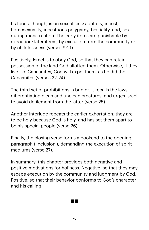Its focus, though, is on sexual sins: adultery, incest, homosexuality, incestuous polygamy, bestiality, and, sex during menstruation. The early items are punishable by execution; later items, by exclusion from the community or by childlessness (verses 9-21).

Positively, Israel is to obey God, so that they can retain possession of the land God allotted them. Otherwise, if they live like Canaanites, God will expel them, as he did the Canaanites (verses 22-24).

The third set of prohibitions is briefer. It recalls the laws differentiating clean and unclean creatures, and urges Israel to avoid defilement from the latter (verse 25).

Another interlude repeats the earlier exhortation: they are to be holy because God is holy, and has set them apart to be his special people (verse 26).

Finally, the closing verse forms a bookend to the opening paragraph ('inclusion'), demanding the execution of spirit mediums (verse 27).

In summary, this chapter provides both negative and positive motivations for holiness. Negative: so that they may escape execution by the community and judgment by God. Positive: so that their behavior conforms to God's character and his calling.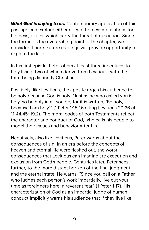*What God is saying to us.* Contemporary application of this passage can explore either of two themes: motivations for holiness, or sins which carry the threat of execution. Since the former is the overarching point of the chapter, we consider it here. Future readings will provide opportunity to explore the latter.

In his first epistle, Peter offers at least three incentives to holy living, two of which derive from Leviticus, with the third being distinctly Christian.

Positively, like Leviticus, the apostle urges his audience to be holy because God is holy: "Just as he who called you is holy, so be holy in all you do; for it is written, 'Be holy, because I am holy'" (1 Peter 1:15-16 citing Leviticus 20:26 cf. 11:44,45; 19:2). The moral codes of both Testaments reflect the character and conduct of God, who calls his people to model their values and behavior after his.

Negatively, also like Leviticus, Peter warns about the consequences of sin. In an era before the concepts of heaven and eternal life were fleshed out, the worst consequences that Leviticus can imagine are execution and exclusion from God's people. Centuries later, Peter sees further, to the more distant horizon of the final judgment and the eternal state. He warns: "Since you call on a Father who judges each person's work impartially, live out your time as foreigners here in reverent fear" (1 Peter 1:17). His characterization of God as an impartial judge of human conduct implicitly warns his audience that if they live like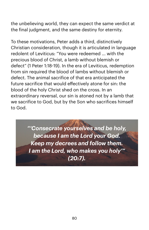the unbelieving world, they can expect the same verdict at the final judgment, and the same destiny for eternity.

To these motivations, Peter adds a third, distinctively Christian consideration, though it is articulated in language redolent of Leviticus: "You were redeemed ... with the precious blood of Christ, a lamb without blemish or defect" (1 Peter 1:18-19). In the era of Leviticus, redemption from sin required the blood of lambs without blemish or defect. The animal sacrifice of that era anticipated the future sacrifice that would effectively atone for sin: the blood of the holy Christ shed on the cross. In an extraordinary reversal, our sin is atoned not by a lamb that we sacrifice to God, but by the Son who sacrifices himself to God.

> *"'Consecrate yourselves and be holy, because I am the Lord your God. Keep my decrees and follow them. I am the Lord, who makes you holy'" (20:7).*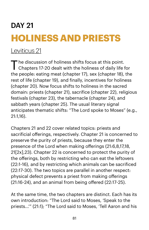# DAY 21 **HOLINESS AND PRIESTS**

#### [Leviticus 21](https://www.biblegateway.com/passage/?search=lev+21&version=NIV)

The discussion of holiness shifts focus at this point.<br>Chapters 17-20 dealt with the holiness of daily life for the people: eating meat (chapter 17), sex (chapter 18), the rest of life (chapter 19), and finally, incentives for holiness (chapter 20). Now focus shifts to holiness in the sacred domain: priests (chapter 21), sacrifice (chapter 22), religious festivals (chapter 23), the tabernacle (chapter 24), and sabbath years (chapter 25). The usual literary signal anticipates thematic shifts: "The Lord spoke to Moses" (e.g., 21:1,16).

Chapters 21 and 22 cover related topics: priests and sacrificial offerings, respectively. Chapter 21 is concerned to preserve the purity of priests, because they enter the presence of the Lord when making offerings (21:6,8,17,18, 21[2x],23). Chapter 22 is concerned to protect the purity of the offerings, both by restricting who can eat the leftovers (22:1-16), and by restricting which animals can be sacrificed (22:17-30). The two topics are parallel in another respect: physical defect prevents a priest from making offerings (21:16-24), and an animal from being offered (22:17-25).

At the same time, the two chapters are distinct. Each has its own introduction: "The Lord said to Moses, 'Speak to the priests...'" (21:1); "The Lord said to Moses, 'Tell Aaron and his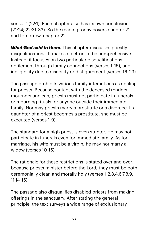sons...'" (22:1). Each chapter also has its own conclusion (21:24; 22:31-33). So the reading today covers chapter 21, and tomorrow, chapter 22.

*What God said to them.* This chapter discusses priestly disqualifications. It makes no effort to be comprehensive. Instead, it focuses on two particular disqualifications: defilement through family connections (verses 1-15), and ineligibility due to disability or disfigurement (verses 16-23).

The passage prohibits various family interactions as defiling for priests. Because contact with the deceased renders mourners unclean, priests must not participate in funerals or mourning rituals for anyone outside their immediate family. Nor may priests marry a prostitute or a divorcée. If a daughter of a priest becomes a prostitute, she must be executed (verses 1-9).

The standard for a high priest is even stricter. He may not participate in funerals even for immediate family. As for marriage, his wife must be a virgin; he may not marry a widow (verses 10-15).

The rationale for these restrictions is stated over and over: because priests minister before the Lord, they must be both ceremonially clean and morally holy (verses 1-2,3,4,6,7,8,9, 11,14-15).

The passage also disqualifies disabled priests from making offerings in the sanctuary. After stating the general principle, the text surveys a wide range of exclusionary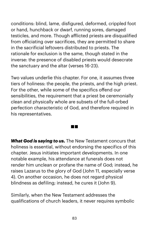conditions: blind, lame, disfigured, deformed, crippled foot or hand, hunchback or dwarf, running sores, damaged testicles, and more. Though aflicted priests are disqualified from oficiating over sacrifices, they are permitted to share in the sacrificial leftovers distributed to priests. The rationale for exclusion is the same, though stated in the inverse: the presence of disabled priests would desecrate the sanctuary and the altar (verses 16-23).

Two values underlie this chapter. For one, it assumes three tiers of holiness: the people, the priests, and the high priest. For the other, while some of the specifics offend our sensibilities, the requirement that a priest be ceremonially clean and physically whole are subsets of the full-orbed perfection characteristic of God, and therefore required in his representatives.

 $\sim 100$ 

*What God is saying to us.* The New Testament concurs that holiness is essential, without endorsing the specifics of this chapter. Jesus initiates important developments. In one notable example, his attendance at funerals does not render him unclean or profane the name of God; instead, he raises Lazarus to the glory of God (John 11, especially verse 4). On another occasion, he does not regard physical blindness as defiling; instead, he cures it (John 9).

Similarly, when the New Testament addresses the qualifications of church leaders, it never requires symbolic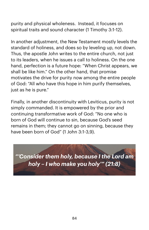purity and physical wholeness. Instead, it focuses on spiritual traits and sound character (1 Timothy 3:1-12).

In another adjustment, the New Testament mostly levels the standard of holiness, and does so by leveling up, not down. Thus, the apostle John writes to the entire church, not just to its leaders, when he issues a call to holiness. On the one hand, perfection is a future hope: "When Christ appears, we shall be like him." On the other hand, that promise motivates the drive for purity now among the entire people of God: "All who have this hope in him purify themselves, just as he is pure."

Finally, in another discontinuity with Leviticus, purity is not simply commanded. It is empowered by the prior and continuing transformative work of God: "No one who is born of God will continue to sin, because God's seed remains in them; they cannot go on sinning, because they have been born of God" (1 John 3:1-3,9).

*"'Consider them holy, because I the Lord am holy – I who make you holy'" (21:8)*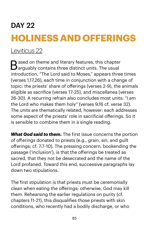# DAY 22 **HOLINESS AND OFFERINGS**

#### [Leviticus 22](https://www.biblegateway.com/passage/?search=lev+22&version=NIV)

 $\bigcap$  ased on theme and literary features, this chapter  $\mathbf J$  arguably contains three distinct units. The usual introduction, "The Lord said to Moses," appears three times (verses 1,17,26), each time in conjunction with a change of topic: the priests' share of offerings (verses 2-9), the animals eligible as sacrifice (verses 17-25), and miscellanea (verses 26-30). A recurring refrain also concludes most units: "I am the Lord who makes them holy" (verses 9,16 cf. verse 32). The units are thematically related, however: each addresses some aspect of the priests' role in sacrificial offerings. So it is sensible to combine them in a single reading.

*What God said to them.* The first issue concerns the portion of offerings donated to priests (e.g., grain, sin, and guilt offerings; cf. 7:7-10). The pressing concern, bookending the passage ('inclusion'), is that the offerings be treated as sacred, that they not be desecrated and the name of the Lord profaned. Toward this end, successive paragraphs lay down two stipulations.

The first stipulation is that priests must be ceremonially clean when eating the offerings; otherwise, God may kill them. Rehearsing the earlier regulations on purity (cf. chapters 11-21), this disqualifies those priests with skin conditions, who recently had a bodily discharge, or who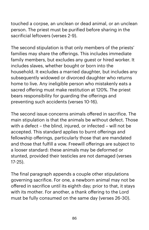touched a corpse, an unclean or dead animal, or an unclean person. The priest must be purified before sharing in the sacrificial leftovers (verses 2-9).

The second stipulation is that only members of the priests' families may share the offerings. This includes immediate family members, but excludes any guest or hired worker. It includes slaves, whether bought or born into the household. It excludes a married daughter, but includes any subsequently widowed or divorced daughter who returns home to live. Any ineligible person who mistakenly eats a sacred offering must make restitution at 120%. The priest bears responsibility for guarding the offerings and preventing such accidents (verses 10-16).

The second issue concerns animals offered in sacrifice. The main stipulation is that the animals be without defect. Those with a defect – the blind, injured, or infected – will not be accepted. This standard applies to burnt offerings and fellowship offerings, particularly those that are mandated and those that fulfill a vow. Freewill offerings are subject to a looser standard: these animals may be deformed or stunted, provided their testicles are not damaged (verses 17-25).

The final paragraph appends a couple other stipulations governing sacrifice. For one, a newborn animal may not be offered in sacrifice until its eighth day; prior to that, it stays with its mother. For another, a thank offering to the Lord must be fully consumed on the same day (verses 26-30).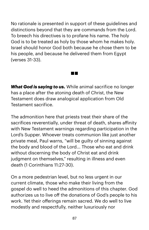No rationale is presented in support of these guidelines and distinctions beyond that they are commands from the Lord. To breech his directives is to profane his name. The holy God is to be treated as holy by those whom he makes holy. Israel should honor God both because he chose them to be his people, and because he delivered them from Egypt (verses 31-33).

*What God is saying to us.* While animal sacrifice no longer has a place after the atoning death of Christ, the New Testament does draw analogical application from Old Testament sacrifice.

The admonition here that priests treat their share of the sacrifices reverentially, under threat of death, shares afinity with New Testament warnings regarding participation in the Lord's Supper. Whoever treats communion like just another private meal, Paul warns, "will be guilty of sinning against the body and blood of the Lord... Those who eat and drink without discerning the body of Christ eat and drink judgment on themselves," resulting in illness and even death (1 Corinthians 11:27-30).

On a more pedestrian level, but no less urgent in our current climate, those who make their living from the gospel do well to heed the admonitions of this chapter. God authorizes us to live off the donations of God's people to his work. Yet their offerings remain sacred. We do well to live modestly and respectfully, neither luxuriously nor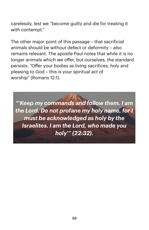carelessly, lest we "become guilty and die for treating it with contempt."

The other major point of this passage – that sacrificial animals should be without defect or deformity – also remains relevant. The apostle Paul notes that while it is no longer animals which we offer, but ourselves, the standard persists: "Offer your bodies as living sacrifices, holy and pleasing to God – this is your spiritual act of worship" (Romans 12:1).

*"'Keep my commands and follow them. I am the Lord. Do not profane my holy name, for I must be acknowledged as holy by the Israelites. I am the Lord, who made you holy'" (22:32).*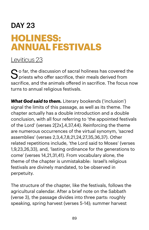### DAY 23 **HOLINESS: ANNUAL FESTIVALS**

#### [Leviticus 23](https://www.biblegateway.com/passage/?search=lev+23&version=NIV)

 $S$  o far, the discussion of sacral holiness has covered the priests who offer sacrifice, their meals derived from sacrifice, and the animals offered in sacrifice. The focus now turns to annual religious festivals.

*What God said to them.* Literary bookends ('inclusion') signal the limits of this passage, as well as its theme. The chapter actually has a double introduction and a double conclusion, with all four referring to 'the appointed festivals of the Lord' (verses 2[2x],4,37,44). Reinforcing the theme are numerous occurrences of the virtual synonym, 'sacred assemblies' (verses 2,3,4,7,8,21,24,27,35,36,37). Other related repetitions include, 'the Lord said to Moses' (verses 1,9,23,26,33), and, 'lasting ordinance for the generations to come' (verses 14,21,31,41). From vocabulary alone, the theme of the chapter is unmistakable: Israel's religious festivals are divinely mandated, to be observed in perpetuity.

The structure of the chapter, like the festivals, follows the agricultural calendar. After a brief note on the Sabbath (verse 3), the passage divides into three parts: roughly speaking, spring harvest (verses 5-14); summer harvest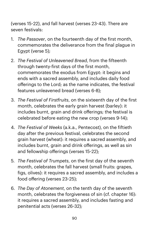(verses 15-22), and fall harvest (verses 23-43). There are seven festivals:

- 1. *The Passover*, on the fourteenth day of the first month, commemorates the deliverance from the final plague in Egypt (verse 5);
- 2. *The Festival of Unleavened Bread*, from the fifteenth through twenty-first days of the first month, commemorates the exodus from Egypt: it begins and ends with a sacred assembly, and includes daily food offerings to the Lord; as the name indicates, the festival features unleavened bread (verses 6-8);
- 3. *The Festival of Firstfruits*, on the sixteenth day of the first month, celebrates the early grain harvest (barley): it includes burnt, grain and drink offerings; the festival is celebrated before eating the new crop (verses 9-14);
- 4. *The Festival of Weeks* (a.k.a., Pentecost), on the fiftieth day after the previous festival, celebrates the second grain harvest (wheat): it requires a sacred assembly, and includes burnt, grain and drink offerings, as well as sin and fellowship offerings (verses 15-22);
- 5. *The Festival of Trumpets*, on the first day of the seventh month, celebrates the fall harvest (small fruits: grapes, figs, olives): it requires a sacred assembly, and includes a food offering (verses 23-25);
- 6. *The Day of Atonement*, on the tenth day of the seventh month, celebrates the forgiveness of sin (cf. chapter 16): it requires a sacred assembly, and includes fasting and penitential acts (verses 26-32);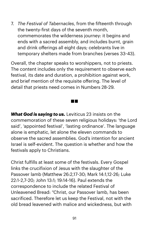7. *The Festival of Tabernacles*, from the fifteenth through the twenty-first days of the seventh month, commemorates the wilderness journey: it begins and ends with a sacred assembly, and includes burnt, grain and drink offerings all eight days; celebrants live in temporary shelters made from branches (verses 33-43).

Overall, the chapter speaks to worshippers, not to priests. The content includes only the requirement to observe each festival, its date and duration, a prohibition against work, and brief mention of the requisite offering. The level of detail that priests need comes in Numbers 28-29.

*What God is saying to us.* Leviticus 23 insists on the commemoration of these seven religious holidays: 'the Lord said', 'appointed festival', 'lasting ordinance'. The language alone is emphatic, let alone the eleven commands to observe the sacred assemblies. God's intention for ancient Israel is self-evident. The question is whether and how the festivals apply to Christians.

Christ fulfills at least some of the festivals. Every Gospel links the crucifixion of Jesus with the slaughter of the Passover lamb (Matthew 26:2,17-30; Mark 14:1,12-26; Luke 22:1-2,7-20; John 13:1; 19:14-16). Paul extends the correspondence to include the related Festival of Unleavened Bread: "Christ, our Passover lamb, has been sacrificed. Therefore let us keep the Festival, not with the old bread leavened with malice and wickedness, but with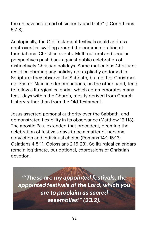the unleavened bread of sincerity and truth" (1 Corinthians 5:7-8).

Analogically, the Old Testament festivals could address controversies swirling around the commemoration of foundational Christian events. Multi-cultural and secular perspectives push back against public celebration of distinctively Christian holidays. Some meticulous Christians resist celebrating any holiday not explicitly endorsed in Scripture: they observe the Sabbath, but neither Christmas nor Easter. Mainline denominations, on the other hand, tend to follow a liturgical calendar, which commemorates many feast days within the Church, mostly derived from Church history rather than from the Old Testament.

Jesus asserted personal authority over the Sabbath, and demonstrated flexibility in its observance (Matthew 12:113). The apostle Paul extended that precedent, deeming the celebration of festivals days to be a matter of personal conviction and individual choice (Romans 14:1-15:13; Galatians 4:8-11; Colossians 2:16-23). So liturgical calendars remain legitimate, but optional, expressions of Christian devotion.

*"'These are my appointed festivals, the appointed festivals of the Lord, which you are to proclaim as sacred assemblies'" (23:2).*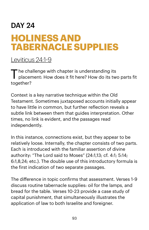## DAY 24 **HOLINESS AND TABERNACLE SUPPLIES**

#### [Leviticus 24:1](https://www.biblegateway.com/passage/?search=lev+24:1-9&version=NIV)-9

The challenge with chapter is understanding its placement: How does it fit here? How do its two parts fit together?

Context is a key narrative technique within the Old Testament. Sometimes juxtaposed accounts initially appear to have little in common, but further reflection reveals a subtle link between them that guides interpretation. Other times, no link is evident, and the passages read independently.

In this instance, connections exist, but they appear to be relatively loose. Internally, the chapter consists of two parts. Each is introduced with the familiar assertion of divine authority: "The Lord said to Moses" (24:1,13; cf. 4:1; 5:14; 6:1,8,24; etc.). The double use of this introductory formula is the first indication of two separate passages.

The difference in topic confirms that assessment. Verses 1-9 discuss routine tabernacle supplies: oil for the lamps, and bread for the table. Verses 10-23 provide a case study of capital punishment, that simultaneously illustrates the application of law to both Israelite and foreigner.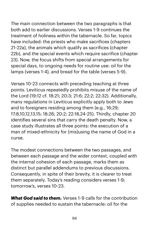The main connection between the two paragraphs is that both add to earlier discussions. Verses 1-9 continues the treatment of holiness within the tabernacle. So far, topics have included: the priests who make sacrifices (chapters 21-22a), the animals which qualify as sacrifices (chapter 22b), and the special events which require sacrifice (chapter 23). Now, the focus shifts from special arrangements for special days, to ongoing needs for routine use: oil for the lamps (verses 1-4), and bread for the table (verses 5-9).

Verses 10-23 connects with preceding teaching at three points. Leviticus repeatedly prohibits misuse of the name of the Lord (19:12 cf. 18:21; 20:3; 21:6; 22:2; 22:32). Additionally, many regulations in Leviticus explicitly apply both to Jews and to foreigners residing among them (e.g., 16:29; 17:8,10,12,13,15; 18:26; 20:2; 22:18,24-25). Thirdly, chapter 20 identifies several sins that carry the death penalty. Now, a case study illustrates all three points: the execution of a man of mixed-ethnicity for (mis)using the name of God in a curse.

The modest connections between the two passages, and between each passage and the wider context, coupled with the internal cohesion of each passage, marks them as distinct but parallel addendums to previous discussions. Consequently, in spite of their brevity, it is clearer to treat them separately. Today's reading considers verses 1-9; tomorrow's, verses 10-23.

*What God said to them.* Verses 1-9 calls for the contribution of supplies needed to sustain the tabernacle: oil for the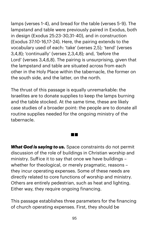lamps (verses 1-4), and bread for the table (verses 5-9). The lampstand and table were previously paired in Exodus, both in design (Exodus 25:23-30,31-40), and in construction (Exodus 37:10-16,17-24). Here, the pairing extends to the vocabulary used of each: 'take' (verses 2,5); 'tend' (verses 3,4,8); 'continually' (verses 2,3,4,8); and, 'before the Lord' (verses 3,4,6,8). The pairing is unsurprising, given that the lampstand and table are situated across from each other in the Holy Place within the tabernacle, the former on the south side, and the latter, on the north.

The thrust of this passage is equally unremarkable: the Israelites are to donate supplies to keep the lamps burning and the table stocked. At the same time, these are likely case studies of a broader point: the people are to donate all routine supplies needed for the ongoing ministry of the tabernacle.

a ka

*What God is saying to us.* Space constraints do not permit discussion of the role of buildings in Christian worship and ministry. Sufice it to say that once we have buildings – whether for theological, or merely pragmatic, reasons – they incur operating expenses. Some of these needs are directly related to core functions of worship and ministry. Others are entirely pedestrian, such as heat and lighting. Either way, they require ongoing financing.

This passage establishes three parameters for the financing of church operating expenses. First, they should be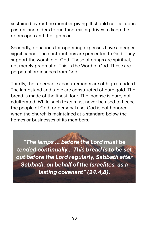sustained by routine member giving. It should not fall upon pastors and elders to run fund-raising drives to keep the doors open and the lights on.

Secondly, donations for operating expenses have a deeper significance. The contributions are presented to God. They support the worship of God. These offerings are spiritual, not merely pragmatic. This is the Word of God. These are perpetual ordinances from God.

Thirdly, the tabernacle accoutrements are of high standard. The lampstand and table are constructed of pure gold. The bread is made of the finest flour. The incense is pure, not adulterated. While such texts must never be used to fleece the people of God for personal use, God is not honored when the church is maintained at a standard below the homes or businesses of its members.

*"The lamps ... before the Lord must be tended continually... This bread is to be set out before the Lord regularly, Sabbath after Sabbath, on behalf of the Israelites, as a lasting covenant" (24:4,8).*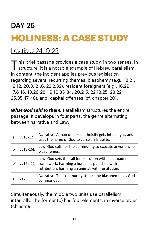# DAY 25 **HOLINESS: A CASE STUDY**

[Leviticus 24:10](https://www.biblegateway.com/passage/?search=lev+24:10-23&version=NIV)-23

This brief passage provides a case study, in two senses. In structure, it is a notable example of Hebrew parallelism. In content, the incident applies previous legislation regarding several recurring themes: blasphemy (e.g., 18:21; 19:12; 20:3; 21:6; 22:2,32); resident foreigners (e.g., 16:29; 17:8-16; 18:26-28; 19:10,33-34; 20:2-5; 22:18,25; 23:22; 25:35,47-48); and, capital offenses (cf. chapter 20).

*What God said to them.* Parallelism structures the entire passage. It develops in four parts, the genre alternating between narrative and Law.

| a  | vv10-12  | Narrative: A man of mixed ethnicity gets into a fight, and<br>uses the name of God to curse an Israelite.                                                 |
|----|----------|-----------------------------------------------------------------------------------------------------------------------------------------------------------|
| b  | vv13-16b | Law: God calls for the community to execute anyone who<br>blasphemes.                                                                                     |
| b' | vv16c-22 | Law: God sets the call for execution within a broader<br>framework: harming a human is punished with<br>retribution; harming an animal, with restitution. |
| aʻ | v23      | Narrative: The community stones the blasphemer, as God<br>commanded.                                                                                      |

Simultaneously, the middle two units use parallelism internally. The former (b) has four elements, in inverse order (chiasm):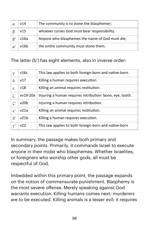| v14  | The community is to stone the blasphemer;       |
|------|-------------------------------------------------|
| v15  | whoever curses God must bear responsibility.    |
| v16a | Anyone who blasphemes the name of God must die; |
| v16b | the entire community must stone them.           |

The latter (b') has eight elements, also in inverse order:

| $\gamma$                   | v16c     | This law applies to both foreign-born and native-born.   |
|----------------------------|----------|----------------------------------------------------------|
| δ                          | v17      | Killing a human requires execution.                      |
| ε.                         | v18      | Killing an animal requires restitution.                  |
| ζ                          | vv19-20a | Injuring a human requires retribution: bone, eye, tooth. |
| $\zeta$                    | v20b     | Injuring a human requires retribution.                   |
| $\varepsilon$ <sup>'</sup> | v21a     | Killing an animal requires restitution.                  |
| $\delta$ '                 | v21b     | Killing a human requires execution.                      |
| $\mathbf{v}^{\prime}$      | v22      | This law applies to both foreign-born and native-born    |

In summary, the passage makes both primary and secondary points. Primarily, it commands Israel to execute anyone in their midst who blasphemes. Whether Israelites, or foreigners who worship other gods, all must be respectful of God.

Imbedded within this primary point, the passage expands on the notion of commensurate punishment. Blasphemy is the most severe offense. Merely speaking against God warrants execution. Killing humans comes next: murderers are to be executed. Killing animals is a lesser evil: it requires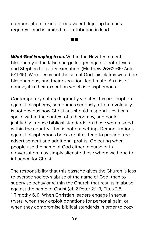compensation in kind or equivalent. Injuring humans requires – and is limited to – retribution in kind.

*What God is saying to us.* Within the New Testament, blasphemy is the false charge lodged against both Jesus and Stephen to justify execution (Matthew 26:62-65; Acts 6:11-15). Were Jesus not the son of God, his claims would be blasphemous, and their execution, legitimate. As it is, of course, it is their execution which is blasphemous.

a ka

Contemporary culture flagrantly violates this proscription against blasphemy, sometimes seriously, often frivolously. It is not obvious how Christians should respond. Leviticus spoke within the context of a theocracy, and could justifiably impose biblical standards on those who resided within the country. That is not our setting. Demonstrations against blasphemous books or films tend to provide free advertisement and additional profits. Objecting when people use the name of God either in curse or in conversation may simply alienate those whom we hope to influence for Christ.

The responsibility that this passage gives the Church is less to oversee society's abuse of the name of God, than to supervise behavior within the Church that results in abuse against the name of Christ (cf. 2 Peter 2:1-3; Titus 2:5; 1 Timothy 6:1). When Christian leaders engage in sexual trysts, when they exploit donations for personal gain, or when they compromise biblical standards in order to cozy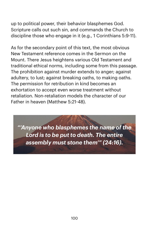up to political power, their behavior blasphemes God. Scripture calls out such sin, and commands the Church to discipline those who engage in it (e.g., 1 Corinthians 5:9-11).

As for the secondary point of this text, the most obvious New Testament reference comes in the Sermon on the Mount. There Jesus heightens various Old Testament and traditional ethical norms, including some from this passage. The prohibition against murder extends to anger; against adultery, to lust; against breaking oaths, to making oaths. The permission for retribution in kind becomes an exhortation to accept even worse treatment without retaliation. Non-retaliation models the character of our Father in heaven (Matthew 5:21-48).

*"'Anyone who blasphemes the name of the Lord is to be put to death. The entire assembly must stone them'" (24:16).*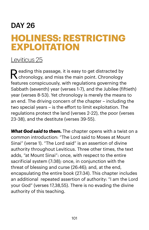### DAY 26 **HOLINESS: RESTRICTING EXPLOITATION**

#### [Leviticus 25](https://www.biblegateway.com/passage/?search=lev+25&version=NIV)

Reading this passage, it is easy to get distracted by chronology, and miss the main point. Chronology features conspicuously, with regulations governing the Sabbath (seventh) year (verses 1-7), and the Jubilee (fiftieth) year (verses 8-53). Yet chronology is merely the means to an end. The driving concern of the chapter – including the two special years – is the effort to limit exploitation. The regulations protect the land (verses 2-22), the poor (verses 23-38), and the destitute (verses 39-55).

*What God said to them.* The chapter opens with a twist on a common introduction: "The Lord said to Moses at Mount Sinai" (verse 1). "The Lord said" is an assertion of divine authority throughout Leviticus. Three other times, the text adds, "at Mount Sinai": once, with respect to the entire sacrificial system (7:38); once, in conjunction with the threat of blessing and curse (26:46); and, at the end, encapsulating the entire book (27:34). This chapter includes an additional repeated assertion of authority: "I am the Lord your God" (verses 17,38,55). There is no evading the divine authority of this teaching.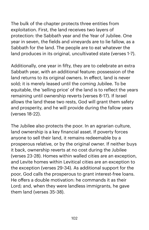The bulk of the chapter protects three entities from exploitation. First, the land receives two layers of protection: the Sabbath year and the Year of Jubilee. One year in seven, the fields and vineyards are to lie fallow, as a Sabbath for the land. The people are to eat whatever the land produces in its original, uncultivated state (verses 1-7).

Additionally, one year in fifty, they are to celebrate an extra Sabbath year, with an additional feature: possession of the land returns to its original owners. In effect, land is never sold; it is merely leased until the coming Jubilee. To be equitable, the 'selling price' of the land is to reflect the years remaining until ownership reverts (verses 8-17). If Israel allows the land these two rests, God will grant them safety and prosperity, and he will provide during the fallow years (verses 18-22).

The Jubilee also protects the poor. In an agrarian culture, land ownership is a key financial asset. If poverty forces anyone to sell their land, it remains redeemable by a prosperous relative, or by the original owner. If neither buys it back, ownership reverts at no cost during the Jubilee (verses 23-28). Homes within walled cities are an exception, and Levite homes within Levitical cities are an exception to the exception (verses 29-34). As additional support for the poor, God calls the prosperous to grant interest-free loans. He offers a double motivation: he commands it as their Lord; and, when they were landless immigrants, he gave them land (verses 35-38).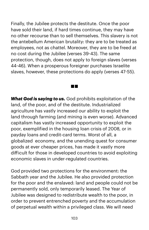Finally, the Jubilee protects the destitute. Once the poor have sold their land, if hard times continue, they may have no other recourse than to sell themselves. This slavery is not the antebellum American brutality: they are to be treated as employees, not as chattel. Moreover, they are to be freed at no cost during the Jubilee (verses 39-43). The same protection, though, does not apply to foreign slaves (verses 44-46). When a prosperous foreigner purchases Israelite slaves, however, these protections do apply (verses 47-55).

a di S

*What God is saying to us.* God prohibits exploitation of the land, of the poor, and of the destitute. Industrialized agriculture has vastly increased our ability to exploit the land through farming (and mining is even worse). Advanced capitalism has vastly increased opportunity to exploit the poor, exemplified in the housing loan crisis of 2008, or in payday loans and credit-card terms. Worst of all, a globalized economy, and the unending quest for consumer goods at ever cheaper prices, has made it vastly more dificult for those in developed countries to avoid exploiting economic slaves in under-regulated countries.

God provided two protections for the environment: the Sabbath year and the Jubilee. He also provided protection for the poor and the enslaved: land and people could not be permanently sold, only temporarily leased. The Year of Jubilee was designed to redistribute wealth to the poor, in order to prevent entrenched poverty and the accumulation of perpetual wealth within a privileged class. We will need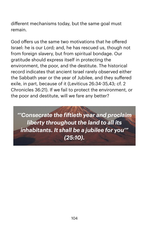different mechanisms today, but the same goal must remain.

God offers us the same two motivations that he offered Israel: he is our Lord; and, he has rescued us, though not from foreign slavery, but from spiritual bondage. Our gratitude should express itself in protecting the environment, the poor, and the destitute. The historical record indicates that ancient Israel rarely observed either the Sabbath year or the year of Jubilee, and they suffered exile, in part, because of it (Leviticus 26:34-35,43; cf. 2 Chronicles 36:21). If we fail to protect the environment, or the poor and destitute, will we fare any better?

*"'Consecrate the fiftieth year and proclaim liberty throughout the land to all its inhabitants. It shall be a jubilee for you'" (25:10).*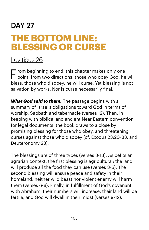### DAY 27 **THE BOTTOM LINE: BLESSING OR CURSE**

#### [Leviticus 26](https://www.biblegateway.com/passage/?search=lev+26&version=NIV)

 $\blacksquare$  rom beginning to end, this chapter makes only one  $\Gamma$  point, from two directions: those who obey God, he will bless; those who disobey, he will curse. Yet blessing is not salvation by works. Nor is curse necessarily final.

**What God said to them.** The passage begins with a summary of Israel's obligations toward God in terms of worship, Sabbath and tabernacle (verses 12). Then, in keeping with biblical and ancient Near Eastern convention for legal documents, the book draws to a close by promising blessing for those who obey, and threatening curses against those who disobey (cf. Exodus 23:20-33, and Deuteronomy 28).

The blessings are of three types (verses 3-13). As befits an agrarian context, the first blessing is agricultural: the land will produce all the food they can use (verses 3-5). The second blessing will ensure peace and safety in their homeland: neither wild beast nor violent enemy will harm them (verses 6-8). Finally, in fulfillment of God's covenant with Abraham, their numbers will increase, their land will be fertile, and God will dwell in their midst (verses 9-12).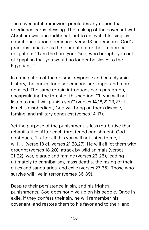The covenantal framework precludes any notion that obedience earns blessing. The making of the covenant with Abraham was unconditional, but to enjoy its blessings is conditioned upon obedience. Verse 13 underscores God's gracious initiative as the foundation for their reciprocal obligation: "'I am the Lord your God, who brought you out of Egypt so that you would no longer be slaves to the Egyptians.'"

In anticipation of their dismal response and cataclysmic history, the curses for disobedience are longer and more detailed. The same refrain introduces each paragraph, encapsulating the thrust of this section: "'If you will not listen to me, I will punish you'" (verses 14,18,21,23,27). If Israel is disobedient, God will bring on them disease, famine, and military conquest (verses 14-17).

Yet the purpose of the punishment is less retributive than rehabilitative. After each threatened punishment, God continues, "If after all this you will not listen to me, I will ..." (verse 18 cf. verses 21,23,27). He will aflict them with drought (verses 18-20), attack by wild animals (verses 21-22), war, plague and famine (verses 23-26), leading ultimately to cannibalism, mass deaths, the razing of their cities and sanctuaries, and exile (verses 27-35). Those who survive will live in terror (verses 36-39).

Despite their persistence in sin, and his frightful punishments, God does not give up on his people. Once in exile, if they confess their sin, he will remember his covenant, and restore them to his favor and to their land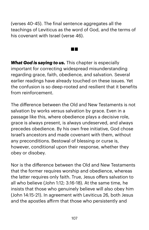(verses 40-45). The final sentence aggregates all the teachings of Leviticus as the word of God, and the terms of his covenant with Israel (verse 46).

a ka

*What God is saying to us.* This chapter is especially important for correcting widespread misunderstanding regarding grace, faith, obedience, and salvation. Several earlier readings have already touched on these issues. Yet the confusion is so deep-rooted and resilient that it benefits from reinforcement.

The difference between the Old and New Testaments is not salvation by works versus salvation by grace. Even in a passage like this, where obedience plays a decisive role, grace is always present, is always undeserved, and always precedes obedience. By his own free initiative, God chose Israel's ancestors and made covenant with them, without any preconditions. Bestowal of blessing or curse is, however, conditional upon their response, whether they obey or disobey.

Nor is the difference between the Old and New Testaments that the former requires worship and obedience, whereas the latter requires only faith. True, Jesus offers salvation to all who believe (John 1:12; 3:16-18). At the same time, he insists that those who genuinely believe will also obey him (John 14:15-21). In agreement with Leviticus 26, both Jesus and the apostles afirm that those who persistently and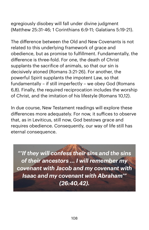egregiously disobey will fall under divine judgment (Matthew 25:31-46; 1 Corinthians 6:9-11; Galatians 5:19-21).

The difference between the Old and New Covenants is not related to this underlying framework of grace and obedience, but as promise to fulfillment. Fundamentally, the difference is three-fold. For one, the death of Christ supplants the sacrifice of animals, so that our sin is decisively atoned (Romans 3:21-26). For another, the powerful Spirit supplants the impotent Law, so that fundamentally – if still imperfectly – we obey God (Romans 6,8). Finally, the required reciprocation includes the worship of Christ, and the imitation of his lifestyle (Romans 10,12).

In due course, New Testament readings will explore these differences more adequately. For now, it sufices to observe that, as in Leviticus, still now, God bestows grace and requires obedience. Consequently, our way of life still has eternal consequence.

*"'If they will confess their sins and the sins of their ancestors ... I will remember my covenant with Jacob and my covenant with Isaac and my covenant with Abraham'" (26:40,42).*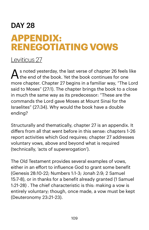## DAY 28 **APPENDIX: RENEGOTIATING VOWS**

## [Leviticus 27](https://www.biblegateway.com/passage/?search=lev+27&version=NIV)

 $\bigwedge$  s noted yesterday, the last verse of chapter 26 feels like the end of the book. Yet the book continues for one more chapter. Chapter 27 begins in a familiar way, "The Lord said to Moses" (27:1). The chapter brings the book to a close in much the same way as its predecessor: "These are the commands the Lord gave Moses at Mount Sinai for the Israelites" (27:34). Why would the book have a double ending?

Structurally and thematically, chapter 27 is an appendix. It differs from all that went before in this sense: chapters 1-26 report activities which God requires; chapter 27 addresses voluntary vows, above and beyond what is required (technically, 'acts of supererogation').

The Old Testament provides several examples of vows, either in an effort to influence God to grant some benefit (Genesis 28:10-22; Numbers 1:1-3; Jonah 2:9; 2 Samuel 15:7-8), or in thanks for a benefit already granted (1 Samuel 1:21-28) . The chief characteristic is this: making a vow is entirely voluntary; though, once made, a vow must be kept (Deuteronomy 23:21-23).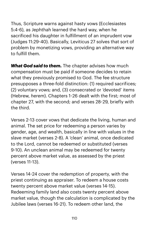Thus, Scripture warns against hasty vows (Ecclesiastes 5:4-6), as Jephthah learned the hard way, when he sacrificed his daughter in fulfillment of an imprudent vow (Judges 11:29-40). Basically, Leviticus 27 solves that sort of problem by monetizing vows, providing an alternative way to fulfill them.

*What God said to them.* The chapter advises how much compensation must be paid if someone decides to retain what they previously promised to God. The fee structure presupposes a three-fold distinction: (1) required sacrifices; (2) voluntary vows; and, (3) consecrated or 'devoted' items (Hebrew, *herem*). Chapters 1-26 dealt with the first; most of chapter 27, with the second; and verses 28-29, briefly with the third.

Verses 2-13 cover vows that dedicate the living, human and animal. The set price for redeeming a person varies by gender, age, and wealth, basically in line with values in the slave market (verses 2-8). A 'clean' animal, once dedicated to the Lord, cannot be redeemed or substituted (verses 9-10). An unclean animal may be redeemed for twenty percent above market value, as assessed by the priest (verses 11-13).

Verses 14-24 cover the redemption of property, with the priest continuing as appraiser. To redeem a house costs twenty percent above market value (verses 14-15). Redeeming family land also costs twenty percent above market value, though the calculation is complicated by the Jubilee laws (verses 16-21). To redeem other land, the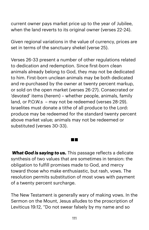current owner pays market price up to the year of Jubilee, when the land reverts to its original owner (verses 22-24).

Given regional variations in the value of currency, prices are set in terms of the sanctuary shekel (verse 25).

Verses 26-33 present a number of other regulations related to dedication and redemption. Since first-born clean animals already belong to God, they may not be dedicated to him. First-born unclean animals may be both dedicated and re-purchased by the owner at twenty percent markup, or sold on the open market (verses 26-27). Consecrated or 'devoted' items (*herem*) – whether people, animals, family land, or P.O.W.s – may not be redeemed (verses 28-29). Israelites must donate a tithe of all produce to the Lord: produce may be redeemed for the standard twenty percent above market value; animals may not be redeemed or substituted (verses 30-33).

*What God is saying to us.* This passage reflects a delicate synthesis of two values that are sometimes in tension: the obligation to fulfill promises made to God, and mercy toward those who make enthusiastic, but rash, vows. The resolution permits substitution of most vows with payment of a twenty percent surcharge.

T

The New Testament is generally wary of making vows. In the Sermon on the Mount, Jesus alludes to the proscription of Leviticus 19:12, "Do not swear falsely by my name and so